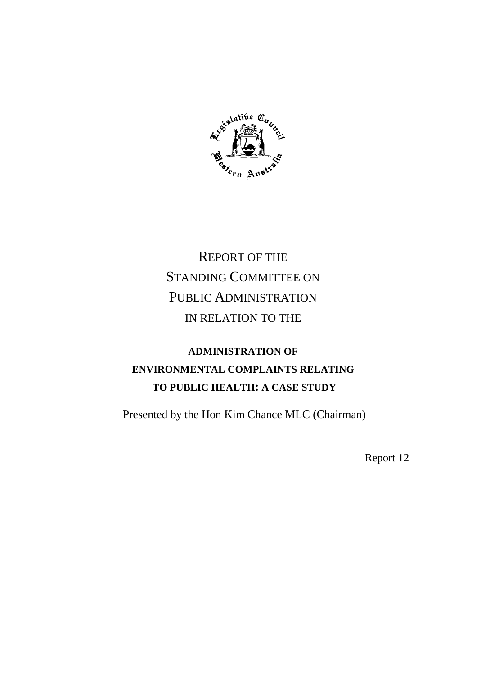

# REPORT OF THE STANDING COMMITTEE ON PUBLIC ADMINISTRATION IN RELATION TO THE

# **ADMINISTRATION OF ENVIRONMENTAL COMPLAINTS RELATING TO PUBLIC HEALTH: A CASE STUDY**

Presented by the Hon Kim Chance MLC (Chairman)

Report 12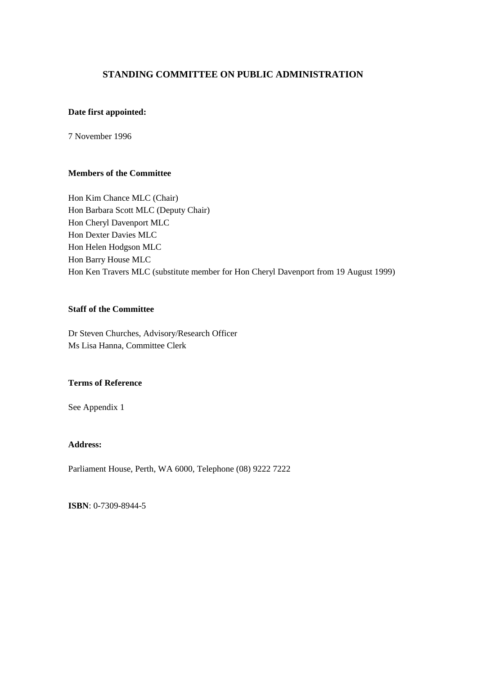# **STANDING COMMITTEE ON PUBLIC ADMINISTRATION**

### **Date first appointed:**

7 November 1996

# **Members of the Committee**

Hon Kim Chance MLC (Chair) Hon Barbara Scott MLC (Deputy Chair) Hon Cheryl Davenport MLC Hon Dexter Davies MLC Hon Helen Hodgson MLC Hon Barry House MLC Hon Ken Travers MLC (substitute member for Hon Cheryl Davenport from 19 August 1999)

# **Staff of the Committee**

Dr Steven Churches, Advisory/Research Officer Ms Lisa Hanna, Committee Clerk

### **Terms of Reference**

See Appendix 1

# **Address:**

Parliament House, Perth, WA 6000, Telephone (08) 9222 7222

**ISBN**: 0-7309-8944-5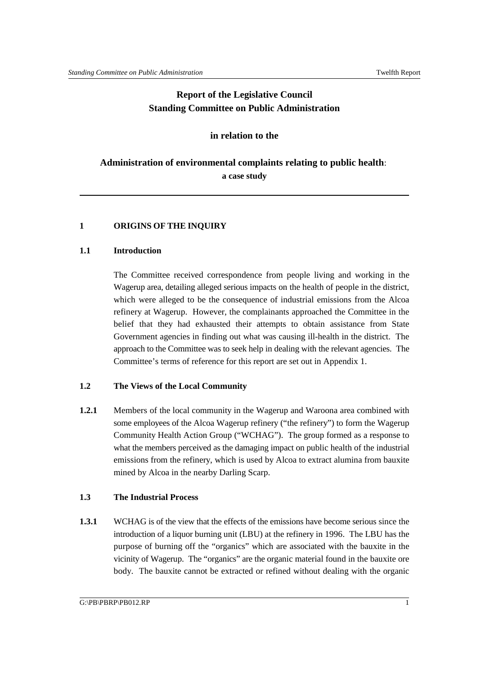# **Report of the Legislative Council Standing Committee on Public Administration**

# **in relation to the**

# **Administration of environmental complaints relating to public health**: **a case study**

# **1 ORIGINS OF THE INQUIRY**

# **1.1 Introduction**

The Committee received correspondence from people living and working in the Wagerup area, detailing alleged serious impacts on the health of people in the district, which were alleged to be the consequence of industrial emissions from the Alcoa refinery at Wagerup. However, the complainants approached the Committee in the belief that they had exhausted their attempts to obtain assistance from State Government agencies in finding out what was causing ill-health in the district. The approach to the Committee was to seek help in dealing with the relevant agencies. The Committee's terms of reference for this report are set out in Appendix 1.

# **1.2 The Views of the Local Community**

**1.2.1** Members of the local community in the Wagerup and Waroona area combined with some employees of the Alcoa Wagerup refinery ("the refinery") to form the Wagerup Community Health Action Group ("WCHAG"). The group formed as a response to what the members perceived as the damaging impact on public health of the industrial emissions from the refinery, which is used by Alcoa to extract alumina from bauxite mined by Alcoa in the nearby Darling Scarp.

# **1.3 The Industrial Process**

**1.3.1** WCHAG is of the view that the effects of the emissions have become serious since the introduction of a liquor burning unit (LBU) at the refinery in 1996. The LBU has the purpose of burning off the "organics" which are associated with the bauxite in the vicinity of Wagerup. The "organics" are the organic material found in the bauxite ore body. The bauxite cannot be extracted or refined without dealing with the organic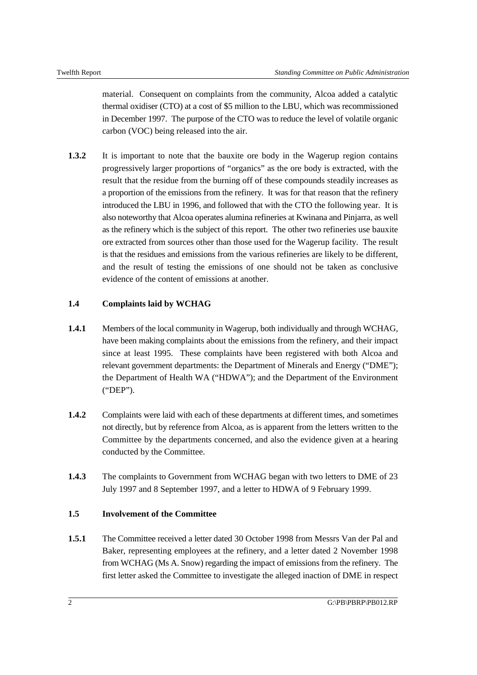material. Consequent on complaints from the community, Alcoa added a catalytic thermal oxidiser (CTO) at a cost of \$5 million to the LBU, which was recommissioned in December 1997. The purpose of the CTO was to reduce the level of volatile organic carbon (VOC) being released into the air.

**1.3.2** It is important to note that the bauxite ore body in the Wagerup region contains progressively larger proportions of "organics" as the ore body is extracted, with the result that the residue from the burning off of these compounds steadily increases as a proportion of the emissions from the refinery. It was for that reason that the refinery introduced the LBU in 1996, and followed that with the CTO the following year. It is also noteworthy that Alcoa operates alumina refineries at Kwinana and Pinjarra, as well as the refinery which is the subject of this report. The other two refineries use bauxite ore extracted from sources other than those used for the Wagerup facility. The result is that the residues and emissions from the various refineries are likely to be different, and the result of testing the emissions of one should not be taken as conclusive evidence of the content of emissions at another.

# **1.4 Complaints laid by WCHAG**

- **1.4.1** Members of the local community in Wagerup, both individually and through WCHAG, have been making complaints about the emissions from the refinery, and their impact since at least 1995. These complaints have been registered with both Alcoa and relevant government departments: the Department of Minerals and Energy ("DME"); the Department of Health WA ("HDWA"); and the Department of the Environment ("DEP").
- **1.4.2** Complaints were laid with each of these departments at different times, and sometimes not directly, but by reference from Alcoa, as is apparent from the letters written to the Committee by the departments concerned, and also the evidence given at a hearing conducted by the Committee.
- **1.4.3** The complaints to Government from WCHAG began with two letters to DME of 23 July 1997 and 8 September 1997, and a letter to HDWA of 9 February 1999.

# **1.5 Involvement of the Committee**

**1.5.1** The Committee received a letter dated 30 October 1998 from Messrs Van der Pal and Baker, representing employees at the refinery, and a letter dated 2 November 1998 from WCHAG (Ms A. Snow) regarding the impact of emissions from the refinery. The first letter asked the Committee to investigate the alleged inaction of DME in respect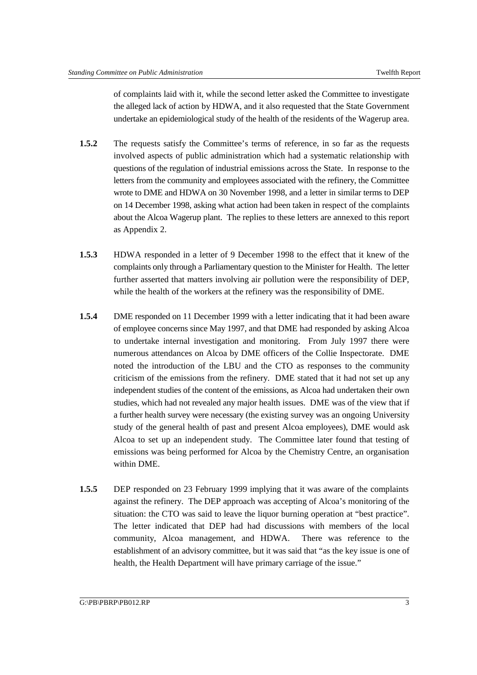of complaints laid with it, while the second letter asked the Committee to investigate the alleged lack of action by HDWA, and it also requested that the State Government undertake an epidemiological study of the health of the residents of the Wagerup area.

- **1.5.2** The requests satisfy the Committee's terms of reference, in so far as the requests involved aspects of public administration which had a systematic relationship with questions of the regulation of industrial emissions across the State. In response to the letters from the community and employees associated with the refinery, the Committee wrote to DME and HDWA on 30 November 1998, and a letter in similar terms to DEP on 14 December 1998, asking what action had been taken in respect of the complaints about the Alcoa Wagerup plant. The replies to these letters are annexed to this report as Appendix 2.
- **1.5.3** HDWA responded in a letter of 9 December 1998 to the effect that it knew of the complaints only through a Parliamentary question to the Minister for Health. The letter further asserted that matters involving air pollution were the responsibility of DEP, while the health of the workers at the refinery was the responsibility of DME.
- **1.5.4** DME responded on 11 December 1999 with a letter indicating that it had been aware of employee concerns since May 1997, and that DME had responded by asking Alcoa to undertake internal investigation and monitoring. From July 1997 there were numerous attendances on Alcoa by DME officers of the Collie Inspectorate. DME noted the introduction of the LBU and the CTO as responses to the community criticism of the emissions from the refinery. DME stated that it had not set up any independent studies of the content of the emissions, as Alcoa had undertaken their own studies, which had not revealed any major health issues. DME was of the view that if a further health survey were necessary (the existing survey was an ongoing University study of the general health of past and present Alcoa employees), DME would ask Alcoa to set up an independent study. The Committee later found that testing of emissions was being performed for Alcoa by the Chemistry Centre, an organisation within DME.
- **1.5.5** DEP responded on 23 February 1999 implying that it was aware of the complaints against the refinery. The DEP approach was accepting of Alcoa's monitoring of the situation: the CTO was said to leave the liquor burning operation at "best practice". The letter indicated that DEP had had discussions with members of the local community, Alcoa management, and HDWA. There was reference to the establishment of an advisory committee, but it was said that "as the key issue is one of health, the Health Department will have primary carriage of the issue."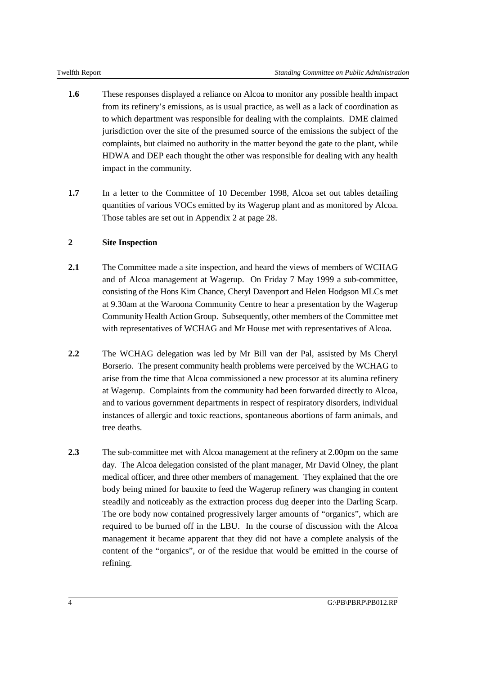- **1.6** These responses displayed a reliance on Alcoa to monitor any possible health impact from its refinery's emissions, as is usual practice, as well as a lack of coordination as to which department was responsible for dealing with the complaints. DME claimed jurisdiction over the site of the presumed source of the emissions the subject of the complaints, but claimed no authority in the matter beyond the gate to the plant, while HDWA and DEP each thought the other was responsible for dealing with any health impact in the community.
- **1.7** In a letter to the Committee of 10 December 1998, Alcoa set out tables detailing quantities of various VOCs emitted by its Wagerup plant and as monitored by Alcoa. Those tables are set out in Appendix 2 at page 28.

# **2 Site Inspection**

- **2.1** The Committee made a site inspection, and heard the views of members of WCHAG and of Alcoa management at Wagerup. On Friday 7 May 1999 a sub-committee, consisting of the Hons Kim Chance, Cheryl Davenport and Helen Hodgson MLCs met at 9.30am at the Waroona Community Centre to hear a presentation by the Wagerup Community Health Action Group. Subsequently, other members of the Committee met with representatives of WCHAG and Mr House met with representatives of Alcoa.
- **2.2** The WCHAG delegation was led by Mr Bill van der Pal, assisted by Ms Cheryl Borserio. The present community health problems were perceived by the WCHAG to arise from the time that Alcoa commissioned a new processor at its alumina refinery at Wagerup. Complaints from the community had been forwarded directly to Alcoa, and to various government departments in respect of respiratory disorders, individual instances of allergic and toxic reactions, spontaneous abortions of farm animals, and tree deaths.
- **2.3** The sub-committee met with Alcoa management at the refinery at 2.00pm on the same day. The Alcoa delegation consisted of the plant manager, Mr David Olney, the plant medical officer, and three other members of management. They explained that the ore body being mined for bauxite to feed the Wagerup refinery was changing in content steadily and noticeably as the extraction process dug deeper into the Darling Scarp. The ore body now contained progressively larger amounts of "organics", which are required to be burned off in the LBU. In the course of discussion with the Alcoa management it became apparent that they did not have a complete analysis of the content of the "organics", or of the residue that would be emitted in the course of refining.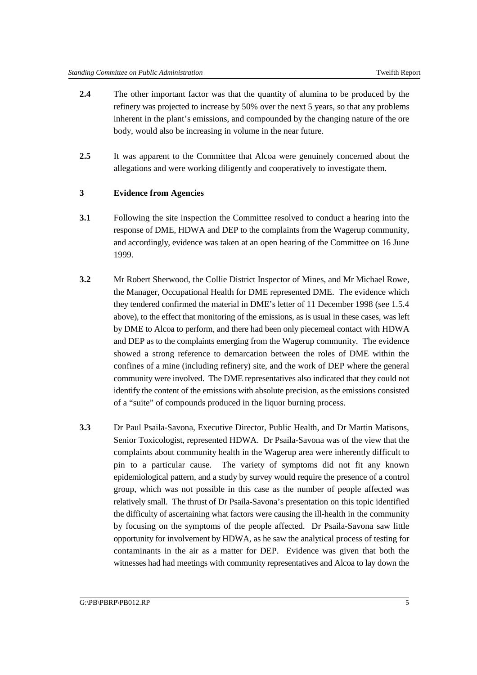- **2.4** The other important factor was that the quantity of alumina to be produced by the refinery was projected to increase by 50% over the next 5 years, so that any problems inherent in the plant's emissions, and compounded by the changing nature of the ore body, would also be increasing in volume in the near future.
- **2.5** It was apparent to the Committee that Alcoa were genuinely concerned about the allegations and were working diligently and cooperatively to investigate them.

### **3 Evidence from Agencies**

- **3.1** Following the site inspection the Committee resolved to conduct a hearing into the response of DME, HDWA and DEP to the complaints from the Wagerup community, and accordingly, evidence was taken at an open hearing of the Committee on 16 June 1999.
- **3.2** Mr Robert Sherwood, the Collie District Inspector of Mines, and Mr Michael Rowe, the Manager, Occupational Health for DME represented DME. The evidence which they tendered confirmed the material in DME's letter of 11 December 1998 (see 1.5.4 above), to the effect that monitoring of the emissions, as is usual in these cases, was left by DME to Alcoa to perform, and there had been only piecemeal contact with HDWA and DEP as to the complaints emerging from the Wagerup community. The evidence showed a strong reference to demarcation between the roles of DME within the confines of a mine (including refinery) site, and the work of DEP where the general community were involved. The DME representatives also indicated that they could not identify the content of the emissions with absolute precision, as the emissions consisted of a "suite" of compounds produced in the liquor burning process.
- **3.3** Dr Paul Psaila-Savona, Executive Director, Public Health, and Dr Martin Matisons, Senior Toxicologist, represented HDWA. Dr Psaila-Savona was of the view that the complaints about community health in the Wagerup area were inherently difficult to pin to a particular cause. The variety of symptoms did not fit any known epidemiological pattern, and a study by survey would require the presence of a control group, which was not possible in this case as the number of people affected was relatively small. The thrust of Dr Psaila-Savona's presentation on this topic identified the difficulty of ascertaining what factors were causing the ill-health in the community by focusing on the symptoms of the people affected. Dr Psaila-Savona saw little opportunity for involvement by HDWA, as he saw the analytical process of testing for contaminants in the air as a matter for DEP. Evidence was given that both the witnesses had had meetings with community representatives and Alcoa to lay down the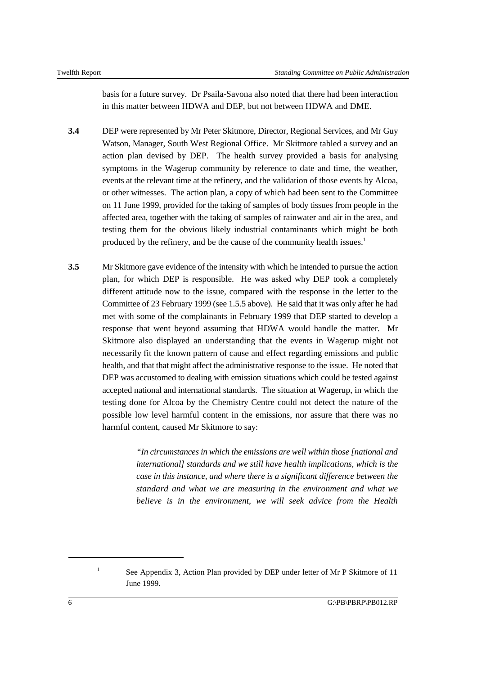basis for a future survey. Dr Psaila-Savona also noted that there had been interaction in this matter between HDWA and DEP, but not between HDWA and DME.

- **3.4** DEP were represented by Mr Peter Skitmore, Director, Regional Services, and Mr Guy Watson, Manager, South West Regional Office. Mr Skitmore tabled a survey and an action plan devised by DEP. The health survey provided a basis for analysing symptoms in the Wagerup community by reference to date and time, the weather, events at the relevant time at the refinery, and the validation of those events by Alcoa, or other witnesses. The action plan, a copy of which had been sent to the Committee on 11 June 1999, provided for the taking of samples of body tissues from people in the affected area, together with the taking of samples of rainwater and air in the area, and testing them for the obvious likely industrial contaminants which might be both produced by the refinery, and be the cause of the community health issues.<sup>1</sup>
- **3.5** Mr Skitmore gave evidence of the intensity with which he intended to pursue the action plan, for which DEP is responsible. He was asked why DEP took a completely different attitude now to the issue, compared with the response in the letter to the Committee of 23 February 1999 (see 1.5.5 above). He said that it was only after he had met with some of the complainants in February 1999 that DEP started to develop a response that went beyond assuming that HDWA would handle the matter. Mr Skitmore also displayed an understanding that the events in Wagerup might not necessarily fit the known pattern of cause and effect regarding emissions and public health, and that that might affect the administrative response to the issue. He noted that DEP was accustomed to dealing with emission situations which could be tested against accepted national and international standards. The situation at Wagerup, in which the testing done for Alcoa by the Chemistry Centre could not detect the nature of the possible low level harmful content in the emissions, nor assure that there was no harmful content, caused Mr Skitmore to say:

*"In circumstances in which the emissions are well within those [national and international] standards and we still have health implications, which is the case in this instance, and where there is a significant difference between the standard and what we are measuring in the environment and what we believe is in the environment, we will seek advice from the Health*

<sup>&</sup>lt;sup>1</sup> See Appendix 3, Action Plan provided by DEP under letter of Mr P Skitmore of 11 June 1999.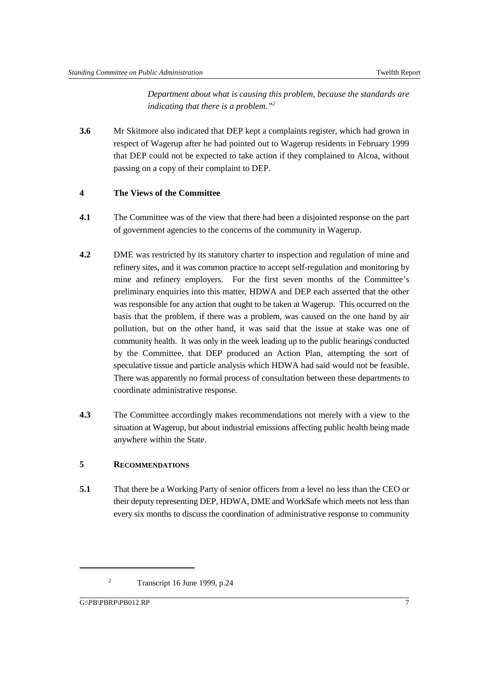*Department about what is causing this problem, because the standards are indicating that there is a problem.*"<sup>2</sup>

**3.6** Mr Skitmore also indicated that DEP kept a complaints register, which had grown in respect of Wagerup after he had pointed out to Wagerup residents in February 1999 that DEP could not be expected to take action if they complained to Alcoa, without passing on a copy of their complaint to DEP.

### **4 The Views of the Committee**

- **4.1** The Committee was of the view that there had been a disjointed response on the part of government agencies to the concerns of the community in Wagerup.
- **4.2** DME was restricted by its statutory charter to inspection and regulation of mine and refinery sites, and it was common practice to accept self-regulation and monitoring by mine and refinery employers. For the first seven months of the Committee's preliminary enquiries into this matter, HDWA and DEP each asserted that the other was responsible for any action that ought to be taken at Wagerup. This occurred on the basis that the problem, if there was a problem, was caused on the one hand by air pollution, but on the other hand, it was said that the issue at stake was one of community health. It was only in the week leading up to the public hearings conducted by the Committee, that DEP produced an Action Plan, attempting the sort of speculative tissue and particle analysis which HDWA had said would not be feasible. There was apparently no formal process of consultation between these departments to coordinate administrative response.
- **4.3** The Committee accordingly makes recommendations not merely with a view to the situation at Wagerup, but about industrial emissions affecting public health being made anywhere within the State.

### **5 RECOMMENDATIONS**

**5.1** That there be a Working Party of senior officers from a level no less than the CEO or their deputy representing DEP, HDWA, DME and WorkSafe which meets not less than every six months to discuss the coordination of administrative response to community

 $T$ Transcript 16 June 1999, p.24

G:\PB\PBRP\PB012.RP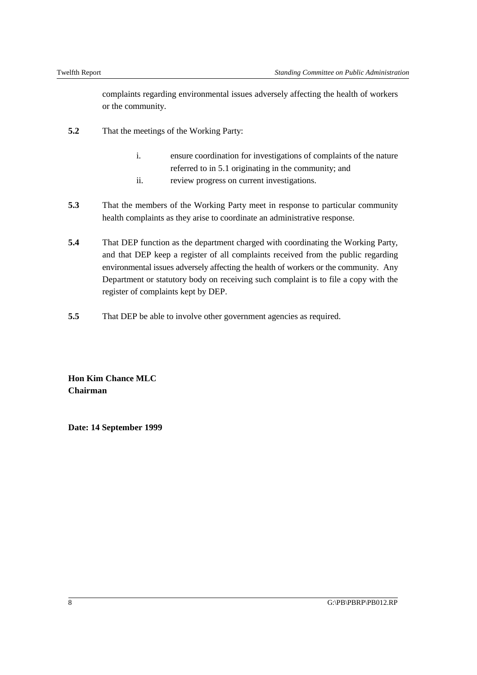complaints regarding environmental issues adversely affecting the health of workers or the community.

- **5.2** That the meetings of the Working Party:
	- i. ensure coordination for investigations of complaints of the nature referred to in 5.1 originating in the community; and
	- ii. review progress on current investigations.
- **5.3** That the members of the Working Party meet in response to particular community health complaints as they arise to coordinate an administrative response.
- **5.4** That DEP function as the department charged with coordinating the Working Party, and that DEP keep a register of all complaints received from the public regarding environmental issues adversely affecting the health of workers or the community. Any Department or statutory body on receiving such complaint is to file a copy with the register of complaints kept by DEP.
- **5.5** That DEP be able to involve other government agencies as required.

**Hon Kim Chance MLC Chairman**

**Date: 14 September 1999**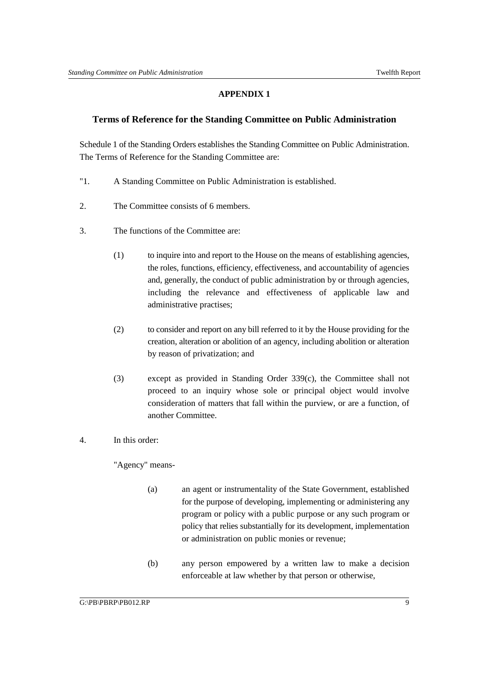# **APPENDIX 1**

### **Terms of Reference for the Standing Committee on Public Administration**

Schedule 1 of the Standing Orders establishes the Standing Committee on Public Administration. The Terms of Reference for the Standing Committee are:

- "1. A Standing Committee on Public Administration is established.
- 2. The Committee consists of 6 members.
- 3. The functions of the Committee are:
	- (1) to inquire into and report to the House on the means of establishing agencies, the roles, functions, efficiency, effectiveness, and accountability of agencies and, generally, the conduct of public administration by or through agencies, including the relevance and effectiveness of applicable law and administrative practises;
	- (2) to consider and report on any bill referred to it by the House providing for the creation, alteration or abolition of an agency, including abolition or alteration by reason of privatization; and
	- (3) except as provided in Standing Order 339(c), the Committee shall not proceed to an inquiry whose sole or principal object would involve consideration of matters that fall within the purview, or are a function, of another Committee.

### 4. In this order:

"Agency" means-

- (a) an agent or instrumentality of the State Government, established for the purpose of developing, implementing or administering any program or policy with a public purpose or any such program or policy that relies substantially for its development, implementation or administration on public monies or revenue;
- (b) any person empowered by a written law to make a decision enforceable at law whether by that person or otherwise,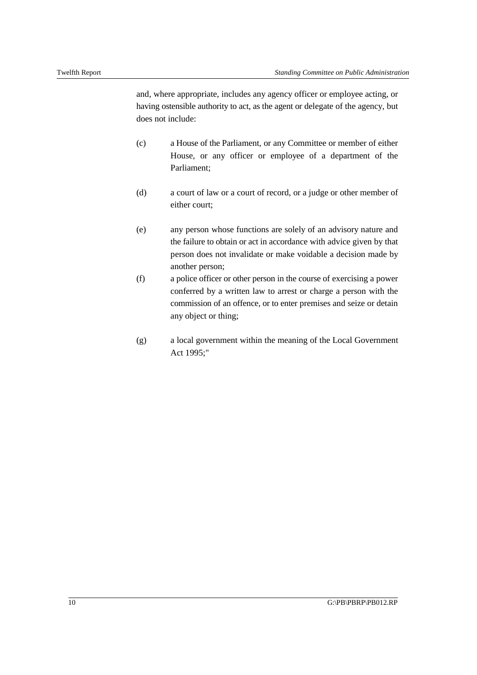and, where appropriate, includes any agency officer or employee acting, or having ostensible authority to act, as the agent or delegate of the agency, but does not include:

- (c) a House of the Parliament, or any Committee or member of either House, or any officer or employee of a department of the Parliament;
- (d) a court of law or a court of record, or a judge or other member of either court;
- (e) any person whose functions are solely of an advisory nature and the failure to obtain or act in accordance with advice given by that person does not invalidate or make voidable a decision made by another person;
- (f) a police officer or other person in the course of exercising a power conferred by a written law to arrest or charge a person with the commission of an offence, or to enter premises and seize or detain any object or thing;
- (g) a local government within the meaning of the Local Government Act 1995;"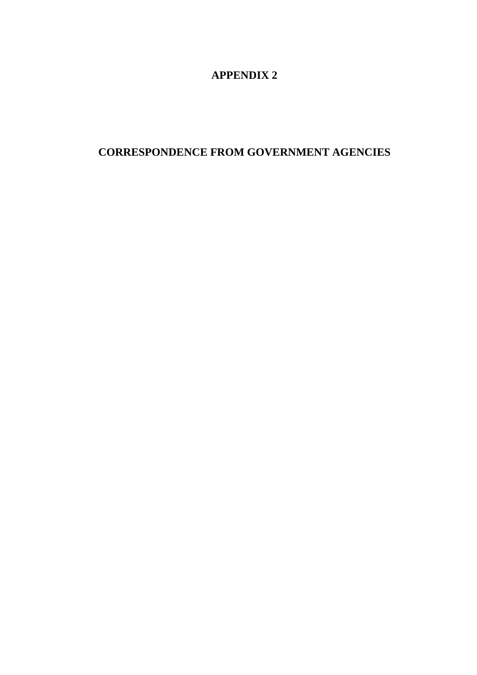# **APPENDIX 2**

# **CORRESPONDENCE FROM GOVERNMENT AGENCIES**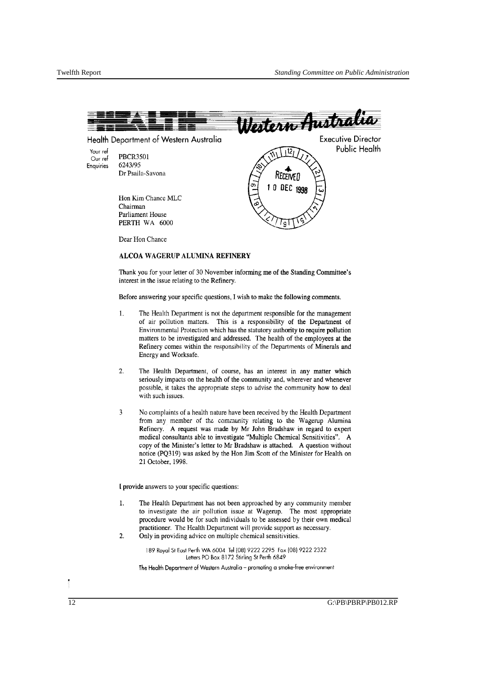

Dear Hon Chance

#### ALCOA WAGERUP ALUMINA REFINERY

Thank you for your letter of 30 November informing me of the Standing Committee's interest in the issue relating to the Refinery.

Before answering your specific questions, I wish to make the following comments.

- 1. The Health Department is not the department responsible for the management of air pollution matters. This is a responsibility of the Department of Environmental Protection which has the statutory authority to require pollution matters to be investigated and addressed. The health of the employees at the Refinery comes within the responsihility of the Departments of Minerals and Energy and Worksafe.
- 2. The Health Department, of course, has an interest in any matter which seriously impacts on the health of the community and, wherever and whenever possIble, it takes the appropriate steps to advise the community how to deal with such issues.
- 3 No complaints of a health nature have been received by the Health Department from any member of the community relating to the Wagerup Alumina Refinery. A request was made by Mr John Bradshaw in regard to expert medical consultants able to investigate "Multiple Chemical Sensitivities". A copy of the Minister's letter to Mr Bradshaw is attached. A question without notice (PQ319) was asked by the Hon Jim Scott of the Minister for Health on 21 October, 1998.

[ provide answers to your specific questions:

- 1. The Health Department has not been approached by any community member to investigate the air pollution issue at Wagerup. The most appropriate procedure would be for such individuals to be assessed by their own medical practitioner. The Health Department will provide support as necessary.
- 2. Only in providing advice on multiple chemical sensitivities.

189 Royal SI East Perth WA 6004 Tel (08)9222 2295 Fax (08)9222 2322 Letters PO Box 8172 Stirling St Perth 6849

The Health Department of Western Australia - promoting a smoke-free environment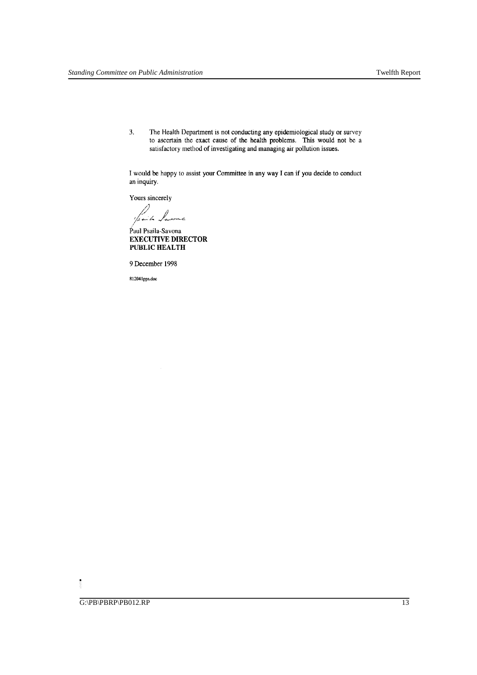3. The Health Department is not conducting any epidemiological study or survey to ascertain the exact cause of the health problems. This would not be a satisfactory method of investigating and managing air pollution issues.

I would be happy to assist your Committee in any way I can if you decide to conduct an inquiry.

Yours sincerely

1/saile lavonc

Paul Psaila-Savona EXECUTIVE DIRECTOR PUBLIC HEALTH

9 December 1998

R12041pps.doc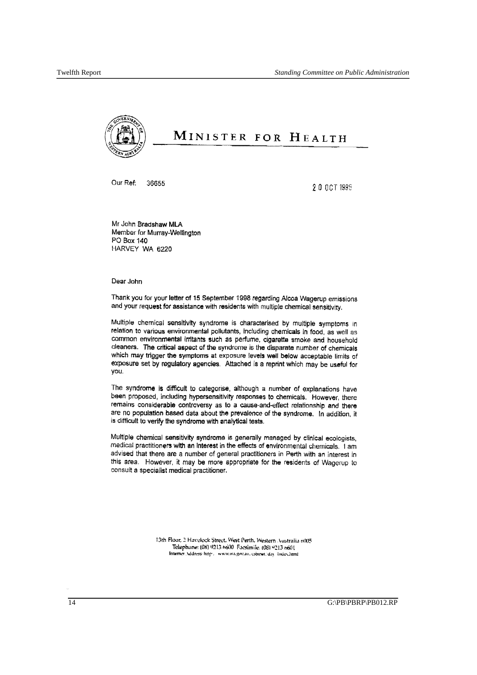

# MINISTER FOR HEALTH

Our Ref: 36655

20 OCT 1993

Mr John Bradshaw MLA Member for Murray-Wellington PO Box 140 HARVEY WA *6220* 

Dear John

Thank you for your letter of 15 September 1995 regarding Alcoa Wagerup emissions and your request for assistance with residents with multiple chemical sensitivity,

Multiple chemical sensitivity syndrome is characterised by multiple symptoms In relation to various environmental pollutants, including chemicals in food, as well as common environmental Irritants such as perfume, cigarette smoke and household cleaners. The critical aspect of the syndrome is the disparate number of chemicals which may trigger the symptoms at exposure levels well below acceptable limits of exposure set by regulatory agencies. Attached is a reprint which may be useful for you.

The syndrome is difficult to categorise, although a number of explanations have been proposed, including hypersensitivity responses to chemicals, However, there remains considerable controversy as to a cause-and-effect relationship end there are no population based data about the prevalence of the syndrome, In addition, it is difficult to verify the syndrome with analytical tests.

Multiple chemical sensitivity syndroma is generally managed by clinical ecologists, medical practitioners with an interest in the effects of environmental chemicals, I am advised that there are a number of general practitioners in Perth with an interest in this area. However, it may be more appropriate for the residents of Wagerup to consult a specialist medical practitioner,

> 13th Floor, 2 Havelock Street, West Perth, Western Australia 6005 Telephone: (08) '0213 h600 Facsimile: (08) "213 n601 Internet .\ddress http://www.wa.gov.au. commet. day/index.html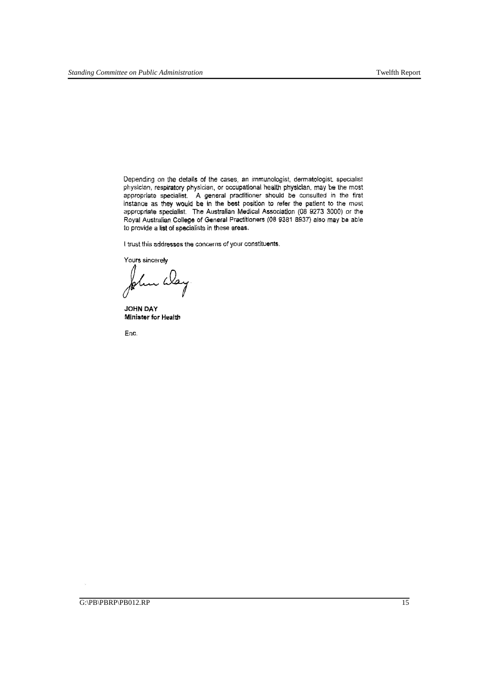Depending on the details of the cases, an immunologist, dermatologist. specialist physician, respiratory physician, or occupational health physician, may be the most appropriate specialist. A general practitioner should be consulted in the first instance as they would be in the best position to refer the patient to the most appropriate specialist. The Australian Medical Association (08 9273 3000) or the Royal Australian. College of General Practitioners (08 9381 8937) also may be able to provide a **list** of specialists in these areas.

I trust this addresses the concerns of your constituents.

Yours sincerely

n íla

**JOHN DAY Minister for Health** 

Ene.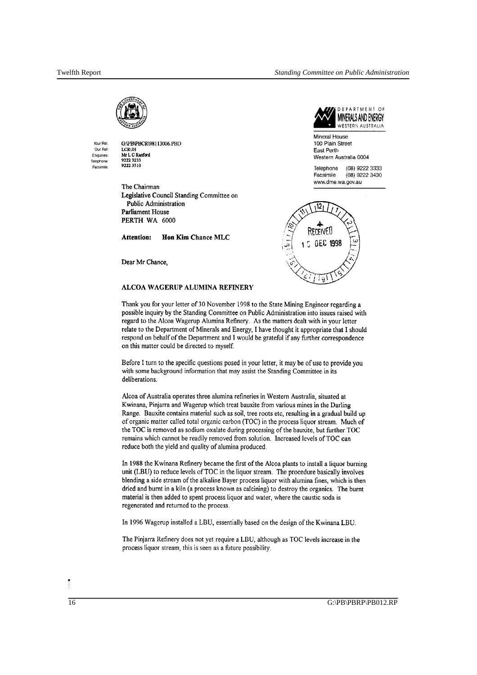DEPARTMENT OF MINERALS AND ENERGY



,(burRel. Our Ael: Enquiries: Telephone' Facsimile' O:IPBIPBCRI98113006.PBD I.CR:JH Mr L C Ranford 92223233 92223510

The Chairman Legislative Council Standing Committee on Public Administration Parliament House PERTH WA 6000

Attention: Hon Kim Chance MLC

Dear Mr Chance,

#### ALCOA WAGERUP ALUMINA REFINERY





Thank you for your letter of 30 November 1998 to the State Mining Engineer regarding a possible inquiry by the Standing Committee on Public Administration into issues raised with regard to the Alcoa Wagerup Alumina Refinery. As the matters dealt with in your letter relate to the Department of Minerals and Energy, I have thought it appropriate that I should respond on behalf of the Department and I would be grateful if any further correspondence on this matter could be directed to myself

Before I turn to the specific questions posed in your letter, it may be of use to provide you with some background information that may assist the Standing Committee in its deliberations.

Alcoa of Australia operates three alumina refineries in Western Australia, situated at Kwinana, Pinjarra and Wagerup which treat bauxite from various mines in the Darling Range. Bauxite contains material such as soil, tree roots etc, resulting in a gradual build up of organic matter called total organic carbon (TOC) in the process liquor stream. Much of the TOC is removed as sodium oxalate during processing of the bauxite, but further TOC remains which cannot be readily removed from solution. Increased levels of TOC can reduce both the yield and quality of alumina produced.

In 1988 the Kwinana Refinery became the first of the Alcoa plants to install a liquor burning unit (LBU) to reduce levels of TOC in the liquor stream. The procedure basically involves blending a side stream of the alkaline Bayer process liquor with alumina fines, which is then dried and burnt in a kiln (a process known as calcining) to destroy the organics. The burnt material is then added to spent process liquor and water, where the caustic soda is regenerated and returned to the process.

In 1996 Wagerup installed a LBU, essentially based on the design of the Kwinana LBU.

The Pinjarra Refinery does not yet require a LBU, although as TOC levels increase in the process liquor stream, this is seen as a filture possibility.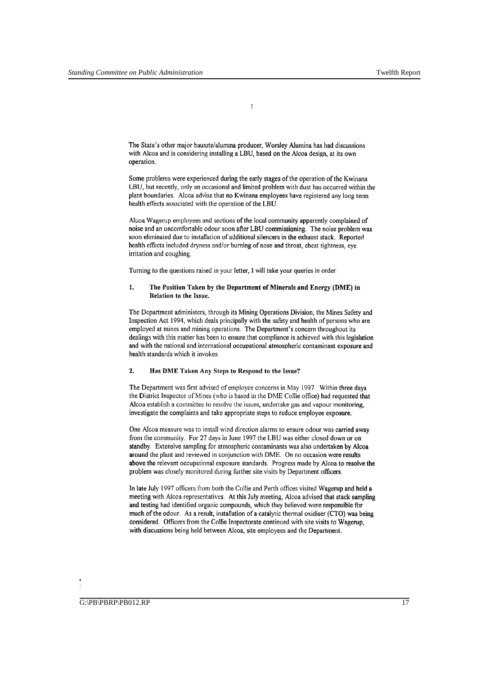$\overline{\phantom{a}}$ 

The State's other major bauxite/alumina producer, Worsley Alumina has had discussions with Alcoa and is considering installing a LBU, based on the Alcoa design, at its own operation.

Some problems were experienced during the early stages of the operation of the Kwinana LBU, but recently, only an occasional and limited problem with dust has occurred within the plant boundaries. Alcoa advise that no Kwinana employees have registered any long term health effects associated with the operation of the LBU.

Alcoa Wagerup employees and sections of the local community apparently complained of noise and an uncomfortable odour soon after LBU commissioning. The noise problem was soon eliminated due to installation of additional silencers in the exhaust stack. Reported health effects included dryness and/or burning of nose and throat, chest tightness, eye irritation and coughing.

Turning to the questions raised in your letter, I will take your queries in order

#### 1. The Position Taken by the Department of Minerals and Energy (DME) in Relation to the Issue.

The Department administers, through its Mining Operations Division, the Mines Safety and Inspection Act 1994, which deals principally with the safety and health of persons who are employed at mines and mining operations. The Department's concern throughout its dealings with this matter has been to ensure that compliance is achieved with this legislation and with the national and international occupational atmospheric contaminant exposure and health standards which it invokes.

#### 2. Has DME Taken Any Steps to Respond to the Issue?

The Department was first advised of employee concerns in May 1997. Within three days the District Inspector of Mines (who is based in the DME Collie office) had requested that Alcoa establish a committee to resolve the issues, undertake gas and vapour monitoring, investigate the complaints and take appropriate steps to reduce employee exposure.

One Alcoa measure was to install wind direction alarms to ensure odour was carried away from the community. For 27 days in June 1997 the LBU was either closed down or on standby. Extensive sampling for atmospheric contaminants was also undertaken by Alcoa around the plant and reviewed in conjunction with DME. On no occasion were results above the relevant occupational exposure standards. Progress made by Alcoa to resolve the problem was closely monitored during further site visits by Department officers.

In late July 1997 officers from both the Collie and Perth offices visited Wagerup and held a meeting with Alcoa representatives. At this July meeting, Alcoa advised that stack sampling and testing had identified organic compounds, which they believed were responsible for much of the odour. As a result, installation of a catalytic thermal oxidiser (CTO) was being considered. Officers from the Collie Inspectorate continued with site visits to Wagerup, with discussions being held between Alcoa, site employees and the Department.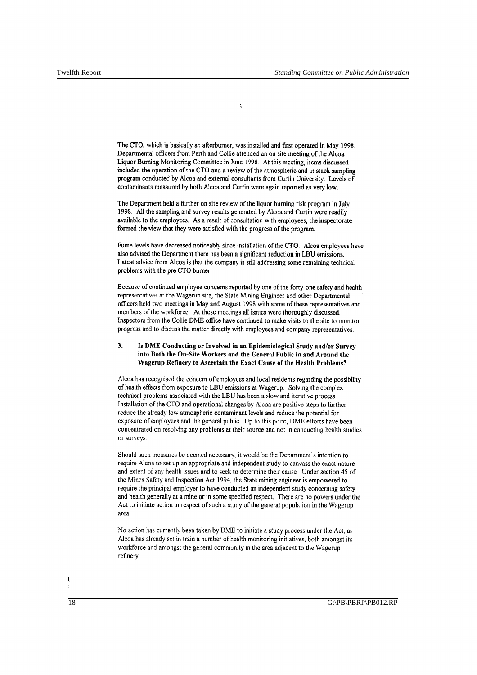$\overline{\mathbf{3}}$ 

The CTO, which is basically an afterburner, was installed and first operated in May 1998. Departmental officers from Perth and Collie attended an on site meeting of the Alcoa Liquor Burning Monitoring Committee in June 1998. At this meeting, items discussed included the operation of the CTO and a review of the atmospheric and in stack sampling program conducted by Alcoa and external consultants from Curtin University. Levels of contaminants measured by both Alcoa and Curtin were again reported as very low.

The Department held a further on site review of the liquor burning risk program in July 1998. All the sampling and survey results generated by Alcoa and Curtin were readily available to the employees. As a result of consultation with employees, the inspectorate formed the view that they were satisfied with the progress of the program.

Fume levels have decreased noticeably since installation of the CTO. Alcoa employees have also advised the Department there has been a significant reduction in LBU emissions. Latest advice from Alcoa is that the company is still addressing some remaining technical problems with the pre CTO burner

Because of continued employee concerns reported by one of the forty-one safety and health representatives at the Wagerup site, the State Mining Engineer and other Departmental officers held two meetings in May and August 1998 with some of these representatives and members of the workforce. At these meetings all issues were thoroughly discussed. Inspectors from the Collie DME office have continued to make visits to the site to monitor progress and to discuss the matter directly with employees and company representatives.

#### 3. Is DME Conducting or Involved in an Epidemiological Study and/or Survey into Both the On-Site Workers and the General Public in and Around the Wagerup Refinery to Ascertain the Exact Cause of the Health Problems?

Alcoa has recognised the concern of employees and local residents regarding the possibility of health effects from exposure to LBU emissions at Wagerup. Solving the complex technical problems associated with the LBU has been a slow and iterative process. Installation of the CTO and operational changes by Alcoa are positive steps to further reduce the already low atmospheric contaminant levels and reduce the potential for exposure of employees and the general public. Up to this point, DME efforts have been concentrated on resolving any problems at their source and not in conducting health studies or surveys.

Should such measures be deemed necessary, it would be the Department's intention to require Alcoa to set up an appropriate and independent study to canvass the exact nature and extent of any health issues and to seek to determine their cause. Under section 45 of the Mines Safety and Inspection Act 1994, the State mining engineer is empowered to require the principal employer to have conducted an independent study concerning safety and health generally at a mine or in some specified respect. There are no powers under the Act to initiate action in respect of such a study of the general population in the Wagerup area.

No action has currently been taken by DME to initiate a study process under the Act, as Alcoa has already set in train a number of health monitoring initiatives, both amongst its workforce and amongst the general community in the area adjacent to the Wagerup refinery.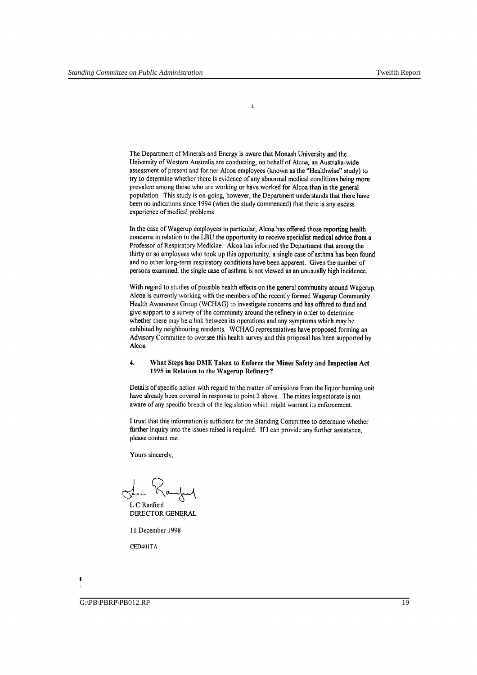The Department of Minerals and Energy is aware that Monash University and the University of Western Australia are conducting, on behalf of Alcoa, an Australia-wide assessment of present and former Alcoa employees (known as the "Healthwise" study) to try to determine whether there is evidence of any abnormal medical conditions being more prevalent among those who are working or have worked for Alcoa than in the general population. This study is on-going, however, the Department understands that there have been no indications since 1994 (when the study commenced) that there is any excess experience of medical problems.

4

In the case of Wagerup employees in particular, Alcoa has offered those reporting health concerns in relation to the LBU the opportunity to receive specialist medical advice from a Professor of Respiratory Medicine. Alcoa has informed the Department that among the thirty or so employees who took up this opportunity, a single case of asthma has been found and no other long-term respiratory conditions have been apparent. Given the number of persons examined, the single case of asthma is not viewed as an unusually high incidence.

With regard to studies of possible health effects on the general community around Wagerup, Alcoa is currently working with the members of the recently formed Wagerup Community Health Awareness Group (WCHAG) to investigate concerns and has offered to fund and give support to a survey of the community around the refinery in order to determine whether there may be a link between its operations and any symptoms which may be exhibited by neighbouring residents. WCHAG representatives have proposed forming an Advisory Committee to oversee this health survey and this proposal has been supported by Alcoa

#### 4. What Steps has DME Taken to Enforce the Mines Safety and Inspection Act 1995 in Relation to the Wagerup Refinery?

Details of specific action with regard to the matter of emissions from the liquor burning unit have already been covered in response to point 2 above. The mines inspectorate is not aware of any specific breach of the legislation which might warrant its enforcement.

I trust that this information is sufficient for the Standing Committee to determine whether further inquiry into the issues raised is required. If I can provide any further assistance, please contact me.

Yours sincerely.

She Kamford

L C Ranford DIRECTOR GENERAL

11 December 1998

CED401TA

 $\overline{G}$ :\PB\PBRP\PB012.RP 19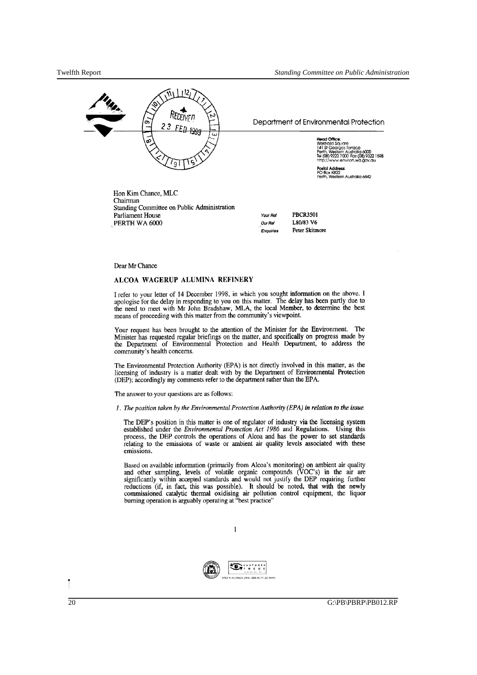

Hon Kim Chance, MLC Chairman Standing Committee on Public Administration Parliament House PERTH WA 6000

Your Ref Our Ref **Enquiries** PBCR350J *L80/83* V6 Peter Skitmore

#### Dear Mr Chance

#### ALCOA WAGERUP ALUMINA REFINERY

I refer to your letter of 14 December 1998, in which you sought information on the above. I apologise for the delay in responding to you on this matter. The delay has been partly due to the need to meet with Mr John Bradshaw, MLA, the local Member, to determine the best means of proceeding with this matter from the community's viewpoint.

Your request has been brought to the attention of the Minister for the Environment. The Minister has requested regular briefings on the matter, and specifically on progress made by the Department of Environmental Protection and Health Department, to address the community's health concerns.

The Environmental Protection Authority (EPA) is not directly involved in this matter, as the licensing of industry is a matter dealt with by the Department of Environmental Protection (DEP); accordingly my comments refer to the department rather than the EPA.

The answer to your questions are as follows:

*1. The position taken by the Environmental Protection Authority (EPA) in relation to the issue* 

The DEP's position in this matter is one of regulator of industry via the licensing system established under the *Environmental Protection Act* 1986 and Regulations. Using this process, the DEP controls the operations of Aleoa and has the power to set standards relating to the emissions of waste or ambient air quality levels associated with these emissions.

Based on available information (primarily from Alcoa's monitoring) on ambient air quality and other sampling, levels of volatile organic compounds (VOC's) in the air are significantly within accepted standards and would not justify the DEP requiring further reductions (if, in fact, this was possible). It should be noted, that with the newly commissioned catalytic thermal oxidising air pollution control equipment, the liquor burning operation is arguably operating at "best practice"



 $\,1$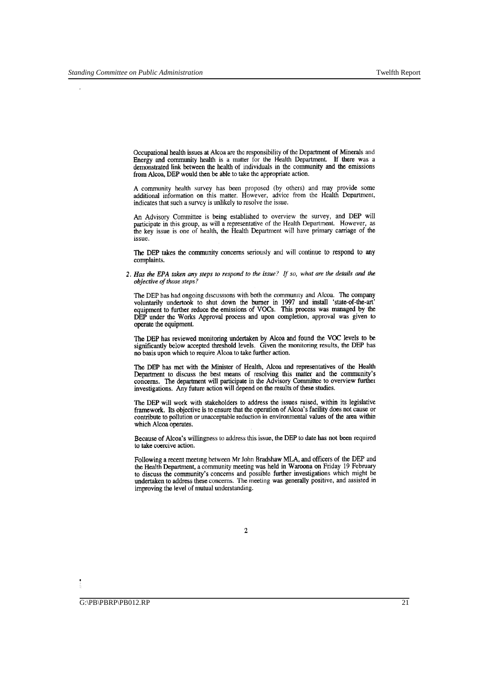Occupational health issues at Alcoa are the responsibility of the Department of Minerals and Energy and community health is a matter for the Health Department. If there was a demonstrated link between the health of individuals in the community and the emissions from Alcoa, DEP would then be able to take the appropriate action.

A community health survey has been proposed (by others) and may provide some additional information on this matter. However, advice from the Health Department, indicates that such a survey is unlikely to resolve the issue.

An Advisory Committee is being established to overview the survey, and DEP will participate in this group, as will a representative of the Health Department. However, as the key issue is one of health, the Health Department will have primary carriage of the issue.

The DEP takes the community concerns seriously and will continue to respond to any complaints.

*2. Has the EPA taken any steps to respond to the issue? If so, what are the details and the objective of those steps?* 

The DEP has had ongoing discussions with both the community and Alcoa. The company voluntarily undertook to shut down the burner in 1997 and install 'state-of-the-art' equipment to further reduce the emissions of VOCs. This process was managed by the DEP under the Works Approval process and upon completion, approval was given to operate the equipment.

The DEP has reviewed monitoring undertaken by Alcoa and found the VOC levels to be significantly below accepted threshold levels. Given the monitoring results, the DEP has no basis upon which to require Alcoa to take further action.

The DEP has met with the Minister of Health, Alcoa and representatives of the Health Department to discuss the best means of resolving this matter and the community's concerns. The department will participate in the Advisory Committee to overview further investigations. Any future action will depend on the results of these studies.

The DEP will work with stakeholders to address the issues raised, within its legislative framework. Its objective is to ensure that the operation of Alcoa's facility does not cause or contribute to pollution or unacceptable reduction in environmental values of the area within which Alcoa operates.

Because of Alcoa's willingness to address this issue, the DEP to date has not been required to take coercive action.

Following a recent meeting between Mr John Bradshaw MLA, and officers of the DEP and the Health Department, a community meeting was held in Waroona on Friday 19 February to discuss the community's concerns and possible further investigations which might be undertaken to address these concerns. The meeting was generally positive, and assisted in improving the level of mutual understanding.

<sup>2</sup>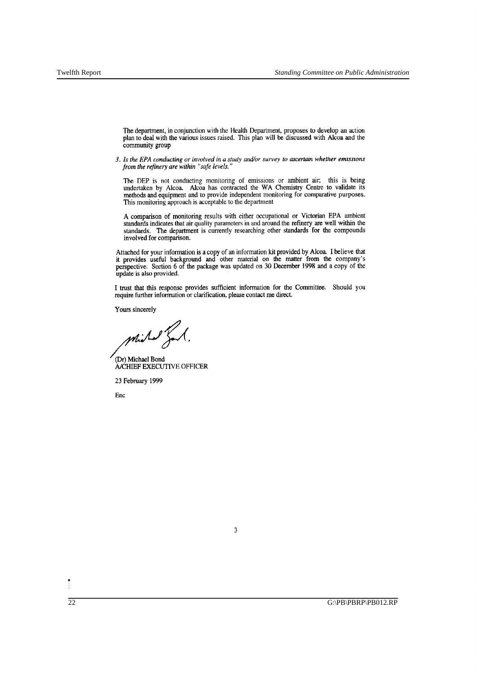The department, in conjunction with the Health Department, proposes to develop an action plan to deal with the various issues raised. This plan will be discussed with Alcoa and the community group

*3. Is the EPA conducting or involved in a studyand/or survey to ascertain whether emIssIons from the refinery are within "safe levels. "* 

The DEP is not conducting monitoring of emissions or ambient air; this is being undertaken by Alcoa. Alcoa has contracted the WA Chemistry Centre to validate its methods and equipment and to provide independent monitoring for comparative purposes. This monitoring approach is acceptable to the department

A comparison of monitoring results with either occupational or Victorian EPA ambient standards indicates that air quality parameters in and around the refinery are well within the standards. The department is currently researching other standards for the compounds involved for comparison.

Attached for your information is a copy of an information kit provided by Alcoa. I believe that it provides useful background and other material on the matter from the company's perspective. Section 6 of the package was updated on 30 December 1998 and a copy of the update is also provided.

I trust that this response provides sufficient information for the Committee. Should you require further information or clarification, please contact me direct.

Yours sincerely

Michael Bond

(Dr) Michael Bond *NCHIEF* EXECUTIVE OFFICER

23 February 1999

Ene

3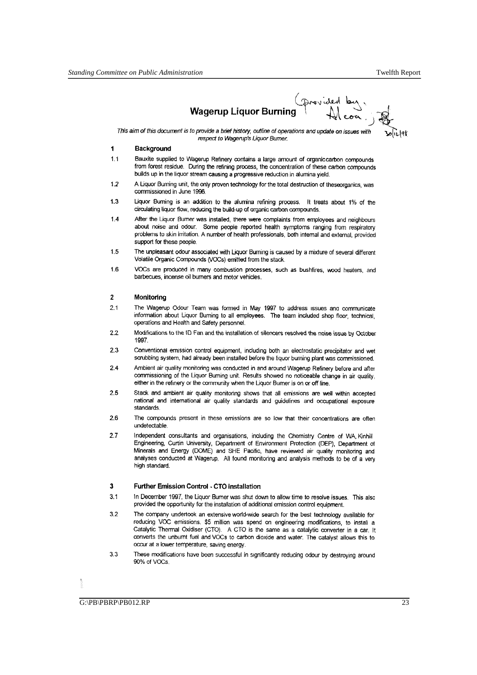Wagerup Liquor Burning **All development** 

This aim of this docurrent is to provide a brief history, outline of operations and update on issues with respect to Wagerup's Liquor Burner.

#### **1 Background**

- 1.1 Bauxite supplied to Wagerup Refinery contains a large amount of organic carbon compounds from forest residue. During the refining process, the concentration of these carbon compounds builds up in the liquor stream causing a progressive reduction in alumina yield.
- 1.2 A Uquor Burning unit, the only proven technology for the total destruction of theseorganics, was commissioned in June 1996.
- 1.3 Uquor Burning is an addition to the alumina refining process. It treats about 1% of the circulating liquor flow, reducing the build-up of organic carbon compounds.
- 1.4 After the Liquor Bumer was installed, there were complaints from employees and neighbours about noise and odour. Some people reported health symptoms ranging from respiratory problems to skin irritation. A number of health professionals, both intemal and external, provided support for these people.
- 1.5 The unpleasant odour associated with Uquor Burning is caused by a mixture of several different Volatile Organic Compounds (VOCs) emitted from the stack..
- 1.6 VOCs are produced in many combustion processes, such as bushfires, wood heaters, and barbecues, incense oil bumers and motor vehicles.

#### 2 **Monitoring**

- 2.1 The Wagerup Odour Team was formed in May 1997 to address Issues ana communicate information about Liquor Buming to all employees. The team included shop floor, technical, operations and Health and Safety personnel.
- 2.2 Modifications to the ID Fan and the installation of silencers resolved the noise issue by October 1997.
- 2.3 Conventional emission control equipment, including both an electrostatic precipitator and wet scrubbing system, had already been installed before the liquor buming plant was commissioned.
- 2.4 Ambient air quality monitoring was conducted in and around Wagerup Refinery before and after commissioning of the Liquor Buming unit. Results showed no noticeable change in air quality, either in the refinery or the community when the Uquor Bumer is on or off line.
- 2.5 Stack and ambient air quality monitoring shows that all emissions are well within accepted national and intemational air quality standards and guidelines and occupational exposure standards.
- 2.6 The compounds present in these emissions are so low that their concentrations are often undetectable.
- 2.7 Independent consultants and organisations, including the Chemistry Centre of WA, Kinhill Engineering, Curtin University, Department of Environment Protection (DEP), Department of Minerals and Energy (DOME) and SHE Pacific, have reviewed air quality monitoring and analyses conducted at Wagerup, All found monitoring and analysis methods to be of a very high standard.

#### **3 Further Emission Control. CTO installation**

- 3.1 I n December 1997, the Uquor Bumer was shut down to allow time to resolve issues. This also provided the opportunity for the installation of additional emission control equipment.
- 3.2 The company undertook an extensive world-wide search for the best technology available for reducing VOC emissions. \$5 million was spend on engineering modifications, to install a Catalytic Thermal Oxidiser (CTO). A CTO is the same as a catalytic converter in a car, It converts the unbumt fuel and VOCs to carbon dioxide and water. The catalyst allows this to occur at a lower temperature, saving energy.
- 3.3 These modifications have been successful in Significantly reducing odour by destroying around 90% of VOCs.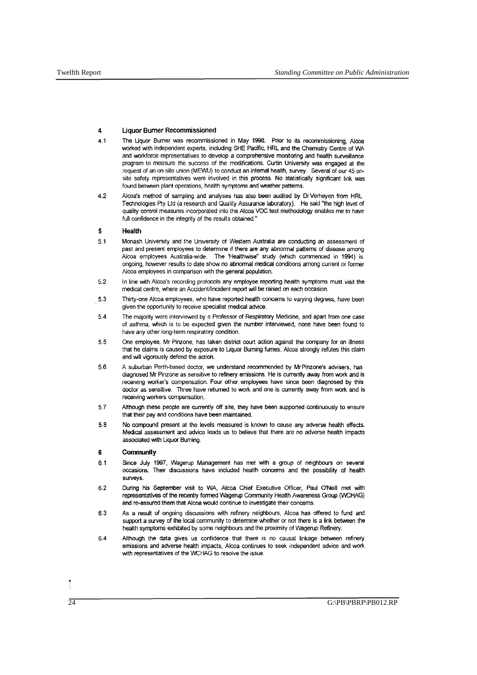#### **4 Uquor Burner Recommissioned**

- 4.1 The Liquor Burner was recommissioned in May 1998. Prior to its recommissioning, Alcoa worked with independent experts, induding SHE Pacific, HRL and the Chemistry Centre of WA and workforce representatives to develop a comprehensive monitoring and health surveillance program to measure the success of the modifications. Curtin University was engaged at the request of an on-site union (MEVVU) to conduct an intemal health, survey. Several of our 45 onsite safety representatives were involved in this process. No statistically significant link was found between plant operations, health symptoms and weather patterns.
- 4.2 Alcoa's method of sampling and analyses has also been audited by DrVerheyen from HRL Technologies Pty Ltd (a research and Quality Assurance laboratory). He said "the high level of quality control measures incorporated into the Alcoa VOC test methodology enables me to have full confidence in the integrity of the results obtained."

#### **5 Health**

- 5.1 Monash University and the University of Westem Australia are conducting an assessment of past and present employees to determine if there are any abnormal pattems of disease among Alcoa employees Australia-wide. The 'HeaJthwise" study (which commenced in 1994) is ongoing, however results to date show no abnormal medical conditions among current or former Alcoa employees in comparison with the general population.
- 5.2 In line with Alcoa's recording protocols any employee reporting health symptoms must visit the medical centre, where an Accident/Incident report will be raised on each occasion.
- 5.3 Thirty-one Alcoa employees, who have reported health concems to varying degrees, have been given the opportunity to receive specialist medical advice.
- 5.4 The majority were interviewed by a Professor of Respiratory Medicine, and apart from one case of aslhma, which is to be expected given the number interviewed, none have been found to have any other long-term respiratory condition.
- 5.5 One employee, Mr Pinzone, has taken district court action against the company for an illness that he claims is caused by exposure to Liquor Buming fumes. Alcoa strongly refutes this claim and will vigorously defend the action.
- 5.6 A suburban Perth-based doctor, we understand recommended by MrPinzone's advisers, has diagnosed Mr Pinzone as sensitive to refinery emissions. He is currently away from work and is receiving worker's compensation. Four other employees have since been diagnosed by this doctor as sensitive. Three have retumed to work and one is currently away from work and is receiving workers compensation.
- 5.7 Although these people are currently off Site, they have been supported continuously to ensure that their pay and conditions have been maintained.
- 5.8 No compound present at the levels measured is known to cause any adverse health effects. Medical assessment and advice leads us to believe that there are no adverse health impacts associated with Liquor Buming.

#### **6 Community**

- 6.1 Since July 1997, Wagerup Management has met with a group of neighbours on several occasions. Their discussions have included health concems and the possibility of health surveys.
- 6.2 During his September visit to WA, Alcoa Chief Executive Officer, Paul ONeill met with representatives of the recently fonned Wagerup Community Health Awareness Group (WCHAG) and re-assured them that Alcoa would continue to investigate their concems.
- 6.3 As a result of ongoing discussions with refinery neighbours, Alcoa has offered to fund and support a survey of the local community to determine whether or not there is a link between the health symptoms exhibited by some neighbours and the proximity of Wagerup Refinery.
- 6.4 Although the data gives us confidence that there is no causal linkage between refinery emissions and adverse health impacts, Alcoa continues to seek independent advice and work with representatives of the WCHAG to resolve the issue.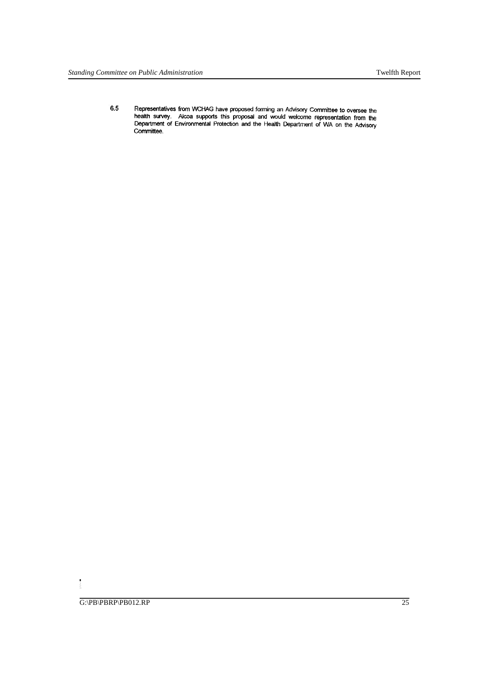6.5 Representatives from WCHAG have proposed forming an Advisory Committee to oversee the health survey. Alcoa supports this proposal and would welcome representation from the Department of Environmental Protection and the Health Department of WA on the Advisory Committee.

 $\begin{array}{c} \bullet \\ \bullet \\ \bullet \end{array}$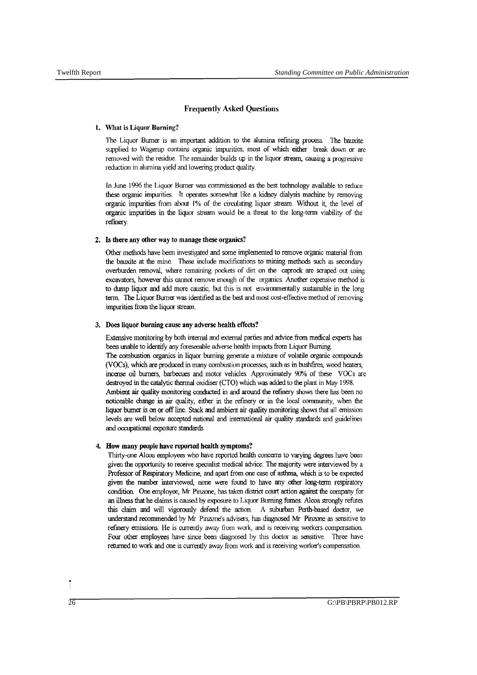### Frequently Asked Questions

#### 1. What is Liquor Burning?

The Liquor Burner is an important addition to the alumina refming process. The bauxite supplied to Wagerup contains organic impurities, most of which either break down or are removed with the residue. The remainder builds up in the liquor stream, causing a progressive reduction in alwnina yield and lowering product quality.

In June 1996 the Liquor Burner was commissioned as the best technology available to reduce these organic impurities It operates somewhat like a kidney dialysis machine by removing organic impurities from about 1% of the circulating liquor stream. Without it, the level of organic impurities in the liquor stream would be a threat to the long-term viability of the refinery.

#### 2. Is there any other way to manage these organics?

Other methods have been investigated and some implemented to remove organic material from the bauxite at the mine. These include modifications to mining methods such as secondary overburden removal, where remaining pockets of dirt on the caprock are scraped out using excavators, however this cannot remove enough of the organics. Another expensive *method* is to dump liquor and add more caustic, but this is not environmentally sustainable in the long term. The Liquor Burner was identified as the best and most cost -effective *method* of removing impurities from the liquor stream.

#### 3. Does liquor burning cause any adverse health effects?

Extensive monitoring by both internal and external parties and advice from medical experts has been unable to identify any foreseeable adverse health impacts from Liquor Burning. The combustion organics in liquor burning generate a mixture of volatile organic compounds (VOCs), which are produced in many combustion processes, such as in bushfrres, wood heaters, incense oil burners, barbecues and motor vehicles. Approximately 90% of these VOCs are destroyed in the catalytic thermal oxidiser (CTO) which was added to the plant in May 1998. Ambient air quality monitoring conducted in and around the refinery shows there has been no noticeable ehange in air quality, either in the refmery or in the local community, when the liquor burner is on or off line. Stack and ambient air quality monitoring shows that all emission levels are well below accepted national and international air quality standards and guidelines and occupational exposure standards.

#### 4. How many people have reported health symptoms?

Thirty-one Alcoa employees who have reported health concerns to varying degrees have been given the opportunity to receive specialist medical advice. The majority were interviewed by a Professor of Respiratory Medicine, and apart from one case of asthma, which is to be expected given the number interviewed, none were found to have any other long-term respiratory condition. One employee, Mr Pinzone, has taken district court action against the company for an illness that he claims is caused by exposure to Liquor Burning fiunes. Alcoa strongly refutes this claim and will vigorously defend the action. A suburban Perth-based doctor, we understand recommended by Mr Pinzone's advisers, has diagnosed Mr Pinzone as sensitive to refmery emissions. He is currently away from work, and is receiving workers compensation Four other employees have since been diagnosed by this doctor as sensitive. Three have returned to work and one is currently away from work and is receiving worker's compensation.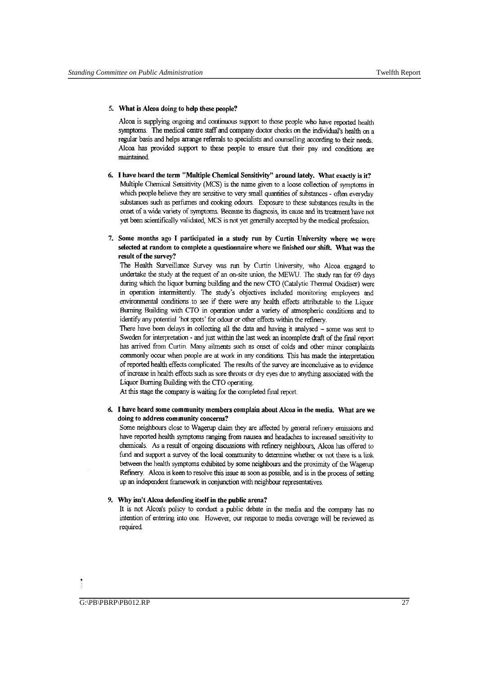#### 5. What is Alcoa doing to help these people?

Alcoa is supplying ongoing and continuous support to those people who have reported health symptoms. The medical centre staff and company doctor checks on the individual's health on a regular basis and helps arrange referrals to specialists and counselling according to their needs. Alcoa has provided support to these people to ensure that their pay and conditions are maintained

- 6. I have heard the term "Multiple Chemical Sensitivity" around lately. What exactly is it? Multiple Chemical Sensitivity (MCS) is the name given to a loose collection of symptoms in which people believe they are sensitive to very small quantities of substances - often everyday substances such as perfumes and cooking odours. Exposure to these substances results in the onset of a wide variety of symptoms. Because its diagnosis, its cause and its treatment 'nave not yet been scientifically validated, MCS is not yet generally accepted by the medical profession.
- 7. Some months ago I participated in a study run by Curtin University where we were selected at random to complete a questionnaire where we finished our shift. What was the result of the survey?

The Health Surveillance Survey was run by Curtin University, who Alcoa engaged to undertake the study at the request of an on-site union, the MEWU. The study ran for 69 days during which the liquor burning building and the new CTO (Catalytic Thermal Oxidiser) were in operation intermittently. The study's objectives included monitoring employees and environmental conditions to see if there were any health effects attributable to the Liquor Burning Building with CTO in operation under a variety of atmospheric conditions and to identify any potential 'hot spots' for odour or other effects within the refmery.

There have been delays in collecting all the data and having it analysed - some was sent to Sweden for interpretation - and just within the last week an incomplete draft of the fmal report has arrived from Curtin. Many ailments such as onset of colds and other minor complaints commonly occur when people are at work in any conditions. This has made the interpretation of reported health effects complicated. The results of the survey are inconclusive as to evidence of increase in health effects such as sore throats or dry eyes due to anything associated with the Liquor Burning Building with the CTO operating.

At this stage the company is waiting for the completed final report.

#### d. I have heard some community members complain about Alcoa in the media. What are we doing to address community concerns?

Some neighbours close to Wagerup claim they are affected by general refinery emissions and have reported health symptoms ranging from nausea and headaches to increased sensitivity to chemicals. As a result of ongoing discussions with refmery neighbours, Alcoa has offered to fund and support a survey of the local community to determine whether or not there is a link between the health symptoms exhibited by some neighbours and the proximity of the Wagerup Refmery. Alcoa is keen to resolve this issue as soon as possible, and is in the process of setting up an independent framework in conjunction with ncighbour representatives.

#### 9, Why isn't Alcoa defending itself in the public arena?

It is not Alcoa's policy to conduct a public debate in the media and the company has no intention of entering into one. However, our response to media coverage will be reviewed as required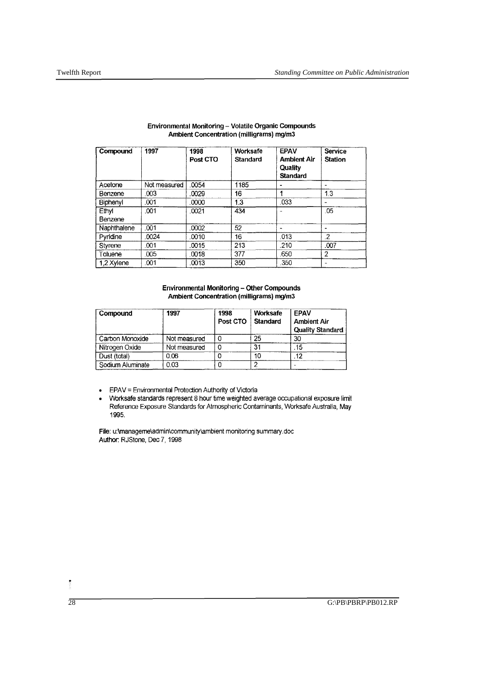| Compound         | 1997         | 1998<br>Post CTO | Worksafe<br><b>Standard</b> | <b>EPAV</b><br><b>Ambient Air</b><br>Quality<br><b>Standard</b> | <b>Service</b><br><b>Station</b> |
|------------------|--------------|------------------|-----------------------------|-----------------------------------------------------------------|----------------------------------|
| Acetone          | Not measured | 0054             | 1185                        |                                                                 |                                  |
| Benzene          | .003         | .0029            | 16                          |                                                                 | 1.3                              |
| Biphenyl         | .001         | .0000            | 1.3                         | .033                                                            |                                  |
| Ethyl<br>Benzene | .001         | .0021            | 434                         |                                                                 | .05                              |
| Naphthalene      | .001         | 0002             | 52                          |                                                                 |                                  |
| Pyridine         | .0024        | .0010            | 16                          | .013                                                            | .2                               |
| Styrene          | .001         | .0015            | 213                         | .210                                                            | .007                             |
| Toluene          | 005          | .0018            | 377                         | .650                                                            | $\overline{2}$                   |
| 1.2 Xylene       | .001         | .0013            | 350                         | .350                                                            |                                  |

#### Environmental Monitoring - Volatile Organic Compounds Ambient Concentration (milligrams) mg/m3

#### Environmental Monitoring - Other Compounds Ambient Concentration (milligrams) mg/m3

| Compound         | 1997         | 1998<br>Post CTO | Worksafe<br>Standard | FPAV<br><b>Ambient Air</b><br><b>Quality Standard</b> |
|------------------|--------------|------------------|----------------------|-------------------------------------------------------|
| Carbon Monoxide  | Not measured |                  | 25                   | 30                                                    |
| Nitrogen Oxide   | Not measured | C                | 31                   | 15                                                    |
| Dust (total)     | 0.06         |                  | 10                   | 12                                                    |
| Sodium Aluminate | 0.03         |                  |                      |                                                       |

- EPAV = Environmental Protection Authority of Victoria<br>• Worksafe standards represent 8 hour time weighted av
- WOrksafe standards represent 8 hour time weighted average occupational exposure limit Reference Exposure Standards for Atmospheric Contaminants, Worksafe Australia, May 1995.

File: u:\manageme\admin\community\ambient monitoring summary,doc Author. RJStone, Dec 7, 1998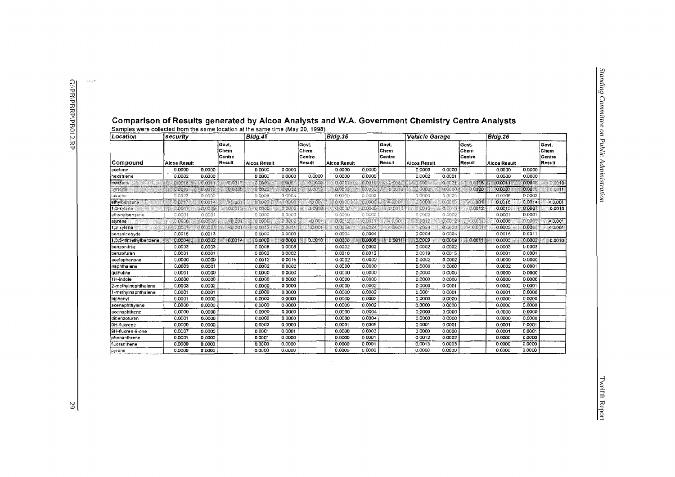والمسترد

| Location               | security     |         |                                   | <b>Bldg.45</b> |         |                                   | Bldg.35             |             |                                   | <b>Vehicle Garage</b> |                                   |                                    | Bidg.26      |                    |                                    |
|------------------------|--------------|---------|-----------------------------------|----------------|---------|-----------------------------------|---------------------|-------------|-----------------------------------|-----------------------|-----------------------------------|------------------------------------|--------------|--------------------|------------------------------------|
| Compound               | Alcoa Result |         | Govt.<br>Chem<br>Centre<br>Result | Alcoa Result   |         | Govt.<br>Chem<br>Centre<br>Result | <b>Alcoa Result</b> |             | Govt.<br>Chem<br>Centre<br>Result | Alcoa Result          |                                   | lGovt.<br>Chem<br>Centre<br>Result | Alcoa Result |                    | Govt.<br>∣Chem<br>Centre<br>Result |
| acetone                | 0.0000       | 0.0000  |                                   | 0.0000         | 0.0000  |                                   | 0.0000              | 0.0000      |                                   | 0.0000                | 0.0000                            |                                    | 0.0000       | 0.0000             |                                    |
| hexatriene             | 0.0002       | 0.0000  |                                   | 0.0000         | 0.0000  | 0.0000                            | 0.0000              | 0.0000      |                                   | 0.0002                | 0.0001                            |                                    | 0.0000       | 0.0000             |                                    |
| $r$ enfene             | 0.0016       | O OO TI | 0.017                             | 0 cool         | Dans    | 0.0008                            | 0.0021              | 0019        | 0.0060                            | 0.0921                | 0.0025                            | $\circ$ $\sqrt{3}$                 | 0.0011       | $0.00$ os          | 0010                               |
| pyridine               | 00002        | 0.0072  | 0.0030                            | ome            | O GL 22 | 0.0013                            | 0.0005              | e oma       | 0.0019                            | o o so                | $\Omega^2$ ( $\Omega^2/\Omega$ ). | $\sqrt{20}$                        | 0.0087       | 0.00 <sub>15</sub> | 0.0011                             |
| toluene                | 0.0003       | 0.0000  |                                   | 0.0009         | 0.0004  |                                   | 0.0000              | 0.0000      |                                   | 0.0000                | 0.0000                            |                                    | 0.0006       | 0.0003             |                                    |
| ethylberizene.         | 0.0017       | 0.0014  | $-0.001$                          | TO GO.         | ಾಂದಿನ   | $-0.001$                          | 0.0000              | o oro       | $-0.001$                          | 0.0000                | 0.000                             | < 0.001                            | 0.0016       | 0.0014             | < 0.001                            |
| 1.3-xylene             | 0.0017       | 0.009   | 0.0015                            | 0000           | 0.0000  | 0.0010                            | 0.0000              | e oceo      | 0.0010                            | 0.0015                | 0.0016                            | 0.0012                             | 0.0013       | 0.0007             | 0.0010                             |
| ethynylbenzene         | 0.0001       | 0.0001  |                                   | 0.0000         | 0.0000  |                                   | 0.0000              | 0.0000      |                                   | 0.0002                | 0.0002                            |                                    | 0.0001       | 0.0001             |                                    |
| styrene                | <b>TODOS</b> | 0.0004  | < 0.001                           | ായമ            | 0.0062  | $-0.001$                          | 0.0012              | <b>OINH</b> | $-0.001$                          | 0.0012                | 0.0012                            | - 0.001                            | 0.0006       | <b>O COOS</b>      | < 0.001                            |
| $1,2$ -xylene          | OOOV.        | 0.0004  | <b>KO 001</b>                     | 0.0017         | O DOM:  | $-0.001$                          | 0.0024              | 0.0024      | $-0.001$                          | 0.0024                | 0.0026                            | 20001                              | 0.0005       | 0.0003             | < 0.001                            |
| benzaldehyde           | 0.0015       | 0.0013  |                                   | 0.0000         | 0.0000  |                                   | 0.0004              | 0.0004      |                                   | 0.0004                | 0.0004                            |                                    | 0.0016       | 0.0011             |                                    |
| 1,3,5-trimethylbenzene | 0.0004       | 0.0002  | 0.0014                            | 0.0000         | 0.0000  | 0.0010                            | 0.0008              | 0,0008      | 10.0011                           | 0,0009                | 0.0009                            | $-0.0011$                          | 0.0003       | 0.0002             | 0.0010                             |
| benzonitrile           | 0.0003       | 0.0003  |                                   | 0.0008         | 0.0008  |                                   | 0.0002              | 0.0002      |                                   | 0.0002                | 0.0002                            |                                    | 0.0003       | 0.0003             |                                    |
| benzofuran             | 0,0001       | 0.0001  |                                   | 0.0002         | 0.0002  |                                   | 0.0010              | 0.0012      |                                   | 0.0019                | 0.0015                            |                                    | 0.0001       | 0.0001             |                                    |
| acetophenone           | 0.0000       | 0,0000  |                                   | 0.0012         | 0.0015  |                                   | 0.0002              | 0.0002      |                                   | 0.0002                | 0.0002                            |                                    | 0.0000       | 0.0000             |                                    |
| naphthalene            | 0.0003       | 0.0001  |                                   | 0.0002         | 0.0002  |                                   | 0.0000              | 0.0000      |                                   | 0.0000                | 0.0000                            |                                    | 0.0002       | 0.0001             |                                    |
| quinoline              | 0.0001       | 0.0000  |                                   | 0.0000         | 0.0000  |                                   | 0.0000              | 0.0000      |                                   | 0.0000                | 0.0000                            |                                    | 0.0000       | 0.0000             |                                    |
| 1H-indole              | 0.0000       | 0.0000  |                                   | 0.0000         | 0.0000  |                                   | 0.0000              | 0.0000      |                                   | 0.0000                | 0.0000                            |                                    | 0.0000       | 0.0000             |                                    |
| 2-methylnaphthalene    | 0.0003       | 0.0002  |                                   | 0.0000         | 0.0000  |                                   | 0,0000              | 0,0002      |                                   | 0.0000                | 0.0001                            |                                    | 0.0002       | 0.0001             |                                    |
| 1-methylnaphthalene    | 0.0001       | 0.0001  |                                   | 0,0000         | 0.0000  |                                   | 0.0000              | 0.0002      |                                   | 0.0001                | 0.0001                            |                                    | 0,0001       | 0.0000             |                                    |
| biphenyl               | 0.0001       | 0.0000  |                                   | 0.0000         | 0.0000  |                                   | 0.0000              | 0.0002      |                                   | 0.0000                | 0.0000                            |                                    | 0.0000       | 0.0000             |                                    |
| acenaphthylene         | 0.0000       | 0.0000  |                                   | 0.0000         | 0.0000  |                                   | 0.0000              | 0.0002      |                                   | 0.0000                | 0.0000                            |                                    | 0.0000       | 0.0000             |                                    |
| acenaphthene           | 0.0000       | 0.0000  |                                   | 0.0000         | 0,0000  |                                   | 0.0000              | 0.0004      |                                   | 0.0000                | 0.0000                            |                                    | 0.0000       | 0.0000             |                                    |
| dibenzofuran           | 0.0001       | 0.0000  |                                   | 0.0000         | 0.0000  |                                   | 0.0000              | 0.0004      |                                   | 0.0000                | 0.0000                            |                                    | 0.0000       | 0,0000             |                                    |
| 9H-fluorene            | 0.0000       | 0.0000  |                                   | 0.0002         | 0.0000  |                                   | 0.0001              | 0.0005      |                                   | 0.0001                | 0.0001                            |                                    | 0.0001       | 0.0001             |                                    |
| 9H-fluoren-9-one       | 0.0007       | 0.0000  |                                   | 0.0001         | 0.0001  |                                   | 0.0000              | 0.0003      |                                   | 0.0000                | 0.0000                            |                                    | 0.0001       | 0.0001             |                                    |
| phenanthrene           | 0.0001       | 0.0000  |                                   | 0.0001         | 0.0000  |                                   | 0.0000              | 0.0001      |                                   | 0,0012                | 0.0002                            |                                    | 0.0000       | 0.0000             |                                    |
| fluoranthene           | 0.0000       | 0,0000  |                                   | 0.0000         | 0.0000  |                                   | 0.0000              | 0.0001      |                                   | 0,0013                | 0.0003                            |                                    | 0.0000       | 0.0000             |                                    |
| pyrene                 | 0.0000       | 0.0000  |                                   | 0.0000         | 0.0000  |                                   | 0.0000              | 0,0000      |                                   | 0.0000                | 0.0000                            |                                    | 0.0000       | 0.0000             |                                    |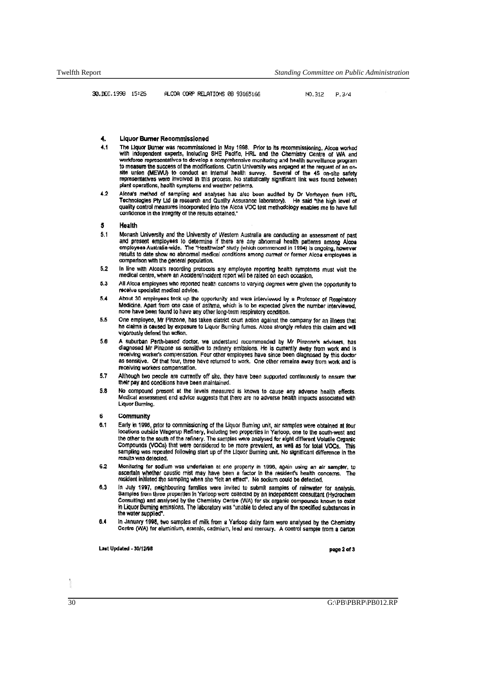# 4. Liquor Burner Recommissioned<br>4.1 The Liquor Burner was recommission

- 4.1 The Liquor Burner was recommissioned in May 1998. Prior to its recommissioning, Alcoa worked with independent experts, including SHE Pactific, when the dieterminal workforce recognees workforce representatives to devel site union (MEWU) to conduct an Internal health survey. Several of the 45 on-site safety representatives were involved in this process. No statistically significant link was found between plant operations, health symptoms and weather petterns.
- 4.2 Alcoa's method of sampling and analyses has also been audited by Dr Verheyen from HRL Technologies Pty Ltd (a research and Quality Assurance laboratory). He said "the high level of quality control measures incorporated into the Alcoa VOC test methodology enables me to have full confidence in the Integrity of the results obtained,"

#### 5 Health

- 5.1 Monash University and the University of Western Australia are conducting an assessment of past and present employees to determine if there are any abnormal health patterns among Alcoa employees Australia-wide. The "Healthwise" study (which commenced in 1994) Is ongoing, however results to date show no abnormal medical conditions among current or former Alcoa employees in comparison WIth the general population.
- 5.2 In line with Alcoa's recording protocols any employee reporting health symptoms must visit the medical centre, where an Accident/Incident report will be raised on each occasion,
- 5.3 All Alcoa employees who reported health concerns to varying degrees were given the opportunity to receive specialist modloal advice,
- 5.4 About 30 employees took up the opportunity and were inlerviewed by a Professor of Respiratory Medicine. Apart from one case of asthma, which is to be expected alven the number interviewed. none have been found to have any other long-term respiratory condition.
- 5.5 One employee, Mr Pinzone, has taken district court action against the company for an illness that he claims is caused by exposure to Liquor Burning fumes. Alcoa strongly refutes this claim and will vigorously defend the action.
- 5.6 A suburban Perth-based doctor, we understand recommended by Mr Pinzone's advisers, has diagnosed Mr Pinzone as sensitive to refinery emissions. He is currently away from work and is receiving worker's compensation. Four other employees have since been diagnosed by this doctor as sensitive. Of that four, three have returned to work. One other remains away from work and is recaiving workers compensation.
- 5.7 Although two people are currently off site, they have been supported continuously to ensure that their pay and conditions have been maintained.
- 5.8 No compound present at the levels measured is known to cause any adverse health effects. Medical assessment and advice suggests that there are no adverse health impacts associated with Liquor Bumina.

#### 6 commUnity

- 6.1 Early in 1996, prior to commissioning of the Liquor Burning unit, air samples were obtained at four locations outside Wagerup Refinery, including two properties in Yarloop, one to the south-west and the other to the south of the refinery. The samples were analysed for eight different Volatile Organic Compounds (VOCs) that were considered to be more prevalent, as well as for total VOCs. This sampling was repeated following start up of the Liquor Burning unit. No significant difference in the results was detected.
- 6.2 Monitoring for sodium was undertaken at one property in 1996, again using an air sampler, to<br>ascertain whether caustic mist may have been a factor in the resident's health concerns, The resident initiated the sampling when she "felt an effect", No sodium could be detected,
- 6.3 In July 1997, neighbouring famillies were invited to submit samples of rainwater for analysis. Samples from three properties in Yarloop were collected by an independent consultant (Hydrochem Consulting) and analysed by the Chemistry Centre (WA) for six organic compounds known to exist in Liquor Burning emissions. The laboratory was "unable to detect any of the specified substances in the water supplied".
- 6.4 In January 1998, two samples of milk from a Yarioop dairy farm were analysed by the Chemistry Centre (WA) for aluminium, arsenic, cadmium, lead and mercury. A control sample from a carton

Last Updated - 30/12/98 page 2 of 3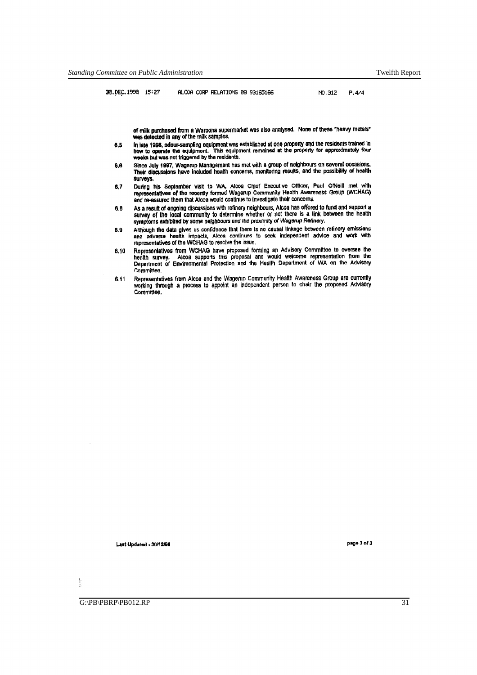30.DEC.1998 15:27 ALCOA CORP RELATIONS 08 93165166 NO.312 P.4/4

of milk purchased from a Waroona supermarket was also analysed. None of these "heavy metals" was detected in any of the milk samples.

- 8.5 In late 1998, adour-sampling equipment was established at one property and the residents trained in how to operate the equipment. This equipment remained at the property for approximately four weeks but was not triggered by the residents.
- 6.6 Since July 1997, Wagerup Management has met with a group of neighbours on several occasions. Their discussions have included health concems, monitoring results, and the possibility of health surveys.
- 6.7 During his September visit to WA, Alcoa Chief Executive Officer, Paul O'Neill met with<br>representatives of the recently formed Wagerup Community Health Awareness Group (WCHAG) and re-assured them that Alcoa would continue to Investigate their concerns.
- 6.8 As a result of ongoing discussions with refinery neighbours, Alcoa has offered to fund and support a survey of the local community to determine whether or not there is a link between the health symptoms extribited by some neighbours and the proximity of Wagerup Refinery.
- 6.9 Although the data gives us confidence that there is no causal linkage between refinery emissions and adverse health impacts. Alcoa continues to seek independent advice and work with representatives of the WCHAG to resolve the issue,
- 6.10 Representatives from WCHAG have proposed fonning *an* Advisory Committee to oversee the health survey. Alcoa supports this proposal and would welcome representation from the<br>Department of Environmental Protection and the Health Department of WA on the Advi\$ory Committee
- 8.11 Representatives from Alcoa and the Wagerup Community Health Awareness Group are currently working through a process to appoint an independent person to chair the proposed Advisory Committee.

Last Updated - 30/12/98 **Page 3 of 3** 

ţ

 $\overline{\text{G}}$ :\PB\PBRP\PB012.RP 31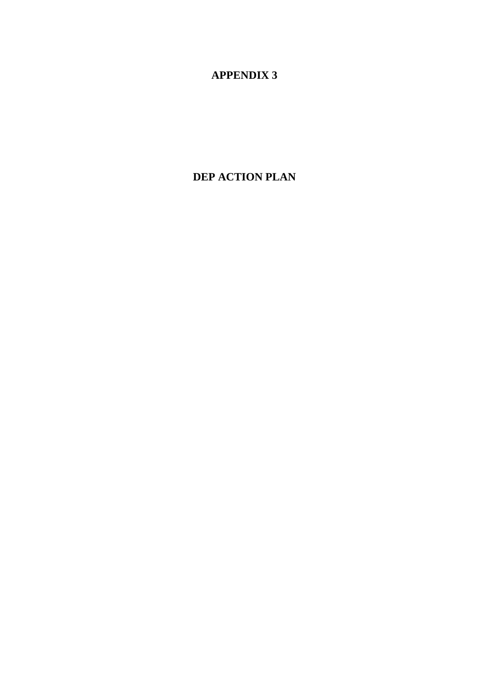# **APPENDIX 3**

# **DEP ACTION PLAN**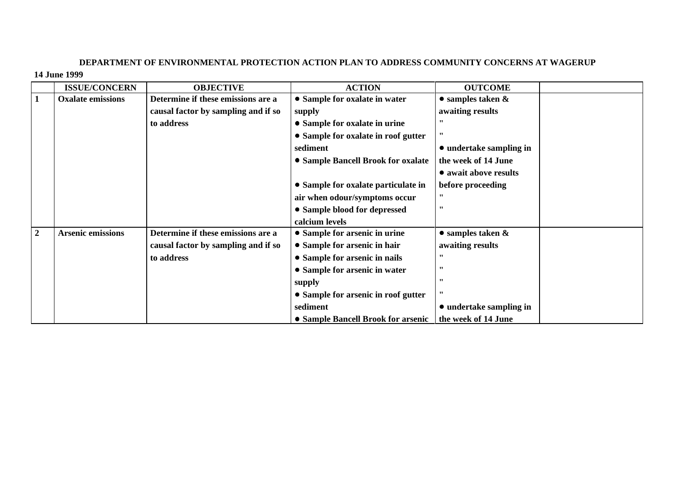# **DEPARTMENT OF ENVIRONMENTAL PROTECTION ACTION PLAN TO ADDRESS COMMUNITY CONCERNS AT WAGERUP 14 June 1999**

|                | <b>ISSUE/CONCERN</b>     | <b>OBJECTIVE</b>                    | <b>ACTION</b>                                            | <b>OUTCOME</b>            |  |
|----------------|--------------------------|-------------------------------------|----------------------------------------------------------|---------------------------|--|
| 1              | <b>Oxalate emissions</b> | Determine if these emissions are a  | • Sample for oxalate in water                            | $\bullet$ samples taken & |  |
|                |                          | causal factor by sampling and if so | supply                                                   | awaiting results          |  |
|                |                          | to address                          | • Sample for oxalate in urine                            | "                         |  |
|                |                          |                                     | • Sample for oxalate in roof gutter                      | $^{\bullet\bullet}$       |  |
|                |                          |                                     | sediment                                                 | • undertake sampling in   |  |
|                |                          |                                     | • Sample Bancell Brook for oxalate                       | the week of 14 June       |  |
|                |                          |                                     |                                                          | • await above results     |  |
|                |                          |                                     | • Sample for oxalate particulate in                      | before proceeding         |  |
|                |                          |                                     | air when odour/symptoms occur                            | $^{\bullet\bullet}$       |  |
|                |                          |                                     | • Sample blood for depressed                             | ,,                        |  |
|                |                          |                                     | calcium levels                                           |                           |  |
| $\overline{2}$ | <b>Arsenic emissions</b> | Determine if these emissions are a  | • Sample for arsenic in urine                            | $\bullet$ samples taken & |  |
|                |                          | causal factor by sampling and if so | • Sample for arsenic in hair                             | awaiting results          |  |
|                |                          | to address                          | • Sample for arsenic in nails                            | ,,                        |  |
|                |                          |                                     | • Sample for arsenic in water                            | ,,                        |  |
|                |                          |                                     | supply                                                   | $^{\bullet\bullet}$       |  |
|                |                          |                                     | • Sample for arsenic in roof gutter                      | ,,                        |  |
|                |                          |                                     | sediment                                                 | • undertake sampling in   |  |
|                |                          |                                     | • Sample Bancell Brook for arsenic   the week of 14 June |                           |  |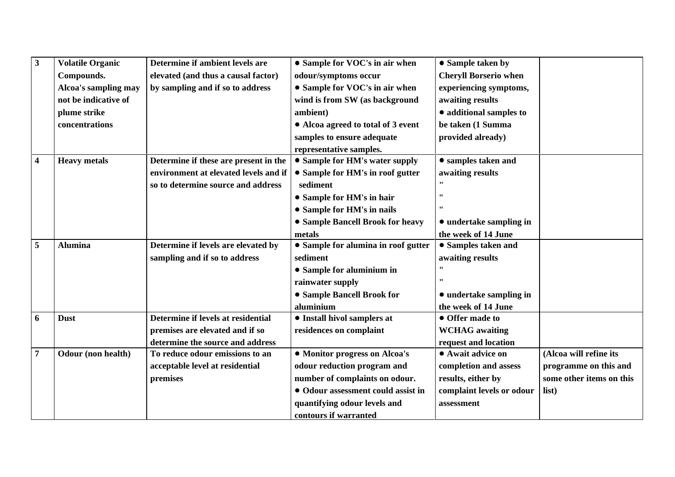| $\mathbf{3}$            | <b>Volatile Organic</b> | Determine if ambient levels are       | • Sample for VOC's in air when      | • Sample taken by            |                          |
|-------------------------|-------------------------|---------------------------------------|-------------------------------------|------------------------------|--------------------------|
|                         | Compounds.              | elevated (and thus a causal factor)   | odour/symptoms occur                | <b>Cheryll Borserio when</b> |                          |
|                         | Alcoa's sampling may    | by sampling and if so to address      | • Sample for VOC's in air when      | experiencing symptoms,       |                          |
|                         | not be indicative of    |                                       | wind is from SW (as background      | awaiting results             |                          |
|                         | plume strike            |                                       | ambient)                            | · additional samples to      |                          |
|                         | concentrations          |                                       | • Alcoa agreed to total of 3 event  | be taken (1 Summa            |                          |
|                         |                         |                                       | samples to ensure adequate          | provided already)            |                          |
|                         |                         |                                       | representative samples.             |                              |                          |
| $\overline{\mathbf{4}}$ | <b>Heavy</b> metals     | Determine if these are present in the | • Sample for HM's water supply      | • samples taken and          |                          |
|                         |                         | environment at elevated levels and if | • Sample for HM's in roof gutter    | awaiting results             |                          |
|                         |                         | so to determine source and address    | sediment                            | $\cdots$                     |                          |
|                         |                         |                                       | • Sample for HM's in hair           | 11                           |                          |
|                         |                         |                                       | • Sample for HM's in nails          | $\pmb{\mathsf{m}}$           |                          |
|                         |                         |                                       | • Sample Bancell Brook for heavy    | • undertake sampling in      |                          |
|                         |                         |                                       | metals                              | the week of 14 June          |                          |
| 5                       | <b>Alumina</b>          | Determine if levels are elevated by   | • Sample for alumina in roof gutter | • Samples taken and          |                          |
|                         |                         | sampling and if so to address         | sediment                            | awaiting results             |                          |
|                         |                         |                                       | • Sample for aluminium in           | $\pmb{\mathsf{m}}$           |                          |
|                         |                         |                                       | rainwater supply                    | $\cdots$                     |                          |
|                         |                         |                                       | • Sample Bancell Brook for          | • undertake sampling in      |                          |
|                         |                         |                                       | aluminium                           | the week of 14 June          |                          |
| 6                       | <b>Dust</b>             | Determine if levels at residential    | • Install hivol samplers at         | • Offer made to              |                          |
|                         |                         | premises are elevated and if so       | residences on complaint             | <b>WCHAG</b> awaiting        |                          |
|                         |                         | determine the source and address      |                                     | request and location         |                          |
| $\overline{7}$          | Odour (non health)      | To reduce odour emissions to an       | • Monitor progress on Alcoa's       | • Await advice on            | (Alcoa will refine its   |
|                         |                         | acceptable level at residential       | odour reduction program and         | completion and assess        | programme on this and    |
|                         |                         | premises                              | number of complaints on odour.      | results, either by           | some other items on this |
|                         |                         |                                       | • Odour assessment could assist in  | complaint levels or odour    | list)                    |
|                         |                         |                                       | quantifying odour levels and        | assessment                   |                          |
|                         |                         |                                       | contours if warranted               |                              |                          |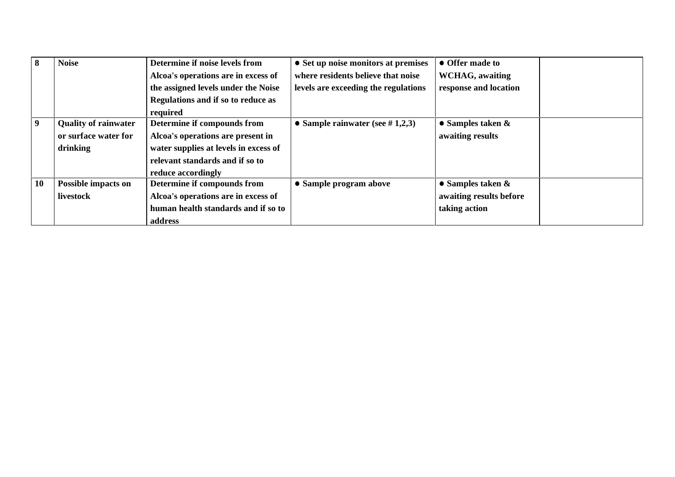| 8  | <b>Noise</b>                | Determine if noise levels from        | • Set up noise monitors at premises  | • Offer made to           |  |
|----|-----------------------------|---------------------------------------|--------------------------------------|---------------------------|--|
|    |                             | Alcoa's operations are in excess of   | where residents believe that noise   | <b>WCHAG</b> , awaiting   |  |
|    |                             | the assigned levels under the Noise   | levels are exceeding the regulations | response and location     |  |
|    |                             | Regulations and if so to reduce as    |                                      |                           |  |
|    |                             | required                              |                                      |                           |  |
| 9  | <b>Quality of rainwater</b> | Determine if compounds from           | • Sample rainwater (see $\#$ 1,2,3)  | • Samples taken $\&$      |  |
|    | or surface water for        | Alcoa's operations are present in     |                                      | awaiting results          |  |
|    | drinking                    | water supplies at levels in excess of |                                      |                           |  |
|    |                             | relevant standards and if so to       |                                      |                           |  |
|    |                             | reduce accordingly                    |                                      |                           |  |
| 10 | <b>Possible impacts on</b>  | Determine if compounds from           | • Sample program above               | $\bullet$ Samples taken & |  |
|    | livestock                   | Alcoa's operations are in excess of   |                                      | awaiting results before   |  |
|    |                             | human health standards and if so to   |                                      | taking action             |  |
|    |                             | address                               |                                      |                           |  |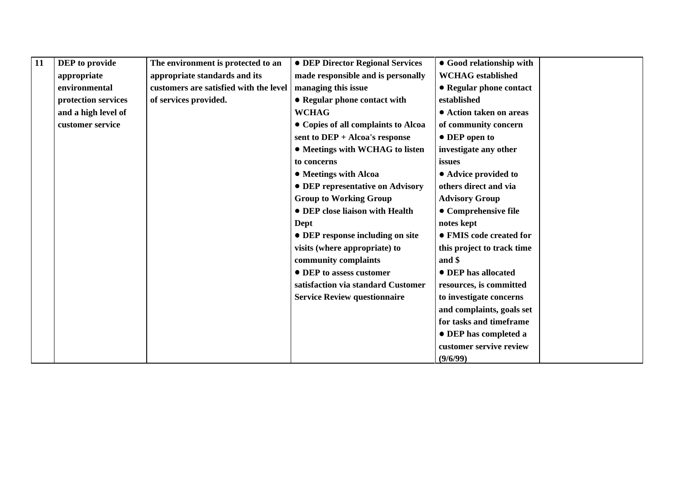| 11 | <b>DEP</b> to provide | The environment is protected to an     | • DEP Director Regional Services        | • Good relationship with   |  |
|----|-----------------------|----------------------------------------|-----------------------------------------|----------------------------|--|
|    | appropriate           | appropriate standards and its          | made responsible and is personally      | <b>WCHAG</b> established   |  |
|    | environmental         | customers are satisfied with the level | managing this issue                     | • Regular phone contact    |  |
|    | protection services   | of services provided.                  | • Regular phone contact with            | established                |  |
|    | and a high level of   |                                        | <b>WCHAG</b>                            | • Action taken on areas    |  |
|    | customer service      |                                        | • Copies of all complaints to Alcoa     | of community concern       |  |
|    |                       |                                        | sent to DEP + Alcoa's response          | • DEP open to              |  |
|    |                       |                                        | • Meetings with WCHAG to listen         | investigate any other      |  |
|    |                       |                                        | to concerns                             | issues                     |  |
|    |                       |                                        | • Meetings with Alcoa                   | • Advice provided to       |  |
|    |                       |                                        | <b>• DEP representative on Advisory</b> | others direct and via      |  |
|    |                       |                                        | <b>Group to Working Group</b>           | <b>Advisory Group</b>      |  |
|    |                       |                                        | • DEP close liaison with Health         | • Comprehensive file       |  |
|    |                       |                                        | Dept                                    | notes kept                 |  |
|    |                       |                                        | • DEP response including on site        | • FMIS code created for    |  |
|    |                       |                                        | visits (where appropriate) to           | this project to track time |  |
|    |                       |                                        | community complaints                    | and \$                     |  |
|    |                       |                                        | • DEP to assess customer                | • DEP has allocated        |  |
|    |                       |                                        | satisfaction via standard Customer      | resources, is committed    |  |
|    |                       |                                        | <b>Service Review questionnaire</b>     | to investigate concerns    |  |
|    |                       |                                        |                                         | and complaints, goals set  |  |
|    |                       |                                        |                                         | for tasks and timeframe    |  |
|    |                       |                                        |                                         | • DEP has completed a      |  |
|    |                       |                                        |                                         | customer servive review    |  |
|    |                       |                                        |                                         | (9/6/99)                   |  |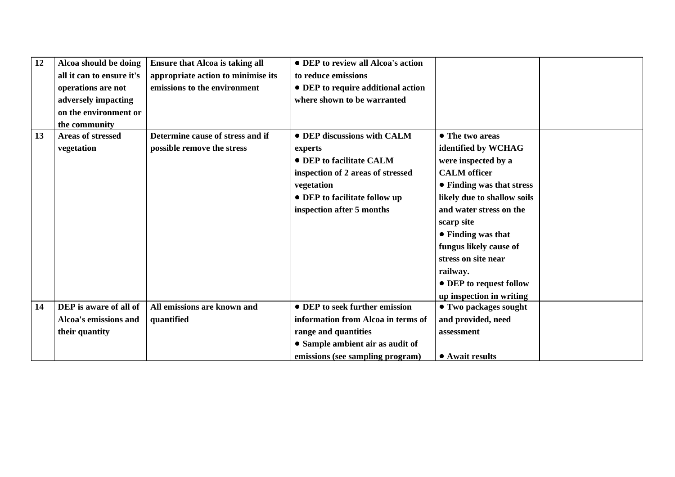| 12 | Alcoa should be doing     | <b>Ensure that Alcoa is taking all</b> | • DEP to review all Alcoa's action |                              |
|----|---------------------------|----------------------------------------|------------------------------------|------------------------------|
|    | all it can to ensure it's | appropriate action to minimise its     | to reduce emissions                |                              |
|    | operations are not        | emissions to the environment           | • DEP to require additional action |                              |
|    | adversely impacting       |                                        | where shown to be warranted        |                              |
|    | on the environment or     |                                        |                                    |                              |
|    | the community             |                                        |                                    |                              |
| 13 | <b>Areas of stressed</b>  | Determine cause of stress and if       | • DEP discussions with CALM        | • The two areas              |
|    | vegetation                | possible remove the stress             | experts                            | identified by WCHAG          |
|    |                           |                                        | • DEP to facilitate CALM           | were inspected by a          |
|    |                           |                                        | inspection of 2 areas of stressed  | <b>CALM</b> officer          |
|    |                           |                                        | vegetation                         | • Finding was that stress    |
|    |                           |                                        | • DEP to facilitate follow up      | likely due to shallow soils  |
|    |                           |                                        | inspection after 5 months          | and water stress on the      |
|    |                           |                                        |                                    | scarp site                   |
|    |                           |                                        |                                    | • Finding was that           |
|    |                           |                                        |                                    | fungus likely cause of       |
|    |                           |                                        |                                    | stress on site near          |
|    |                           |                                        |                                    | railway.                     |
|    |                           |                                        |                                    | • DEP to request follow      |
|    |                           |                                        |                                    | up inspection in writing     |
| 14 | DEP is aware of all of    | All emissions are known and            | • DEP to seek further emission     | <b>• Two packages sought</b> |
|    | Alcoa's emissions and     | quantified                             | information from Alcoa in terms of | and provided, need           |
|    | their quantity            |                                        | range and quantities               | assessment                   |
|    |                           |                                        | • Sample ambient air as audit of   |                              |
|    |                           |                                        | emissions (see sampling program)   | • Await results              |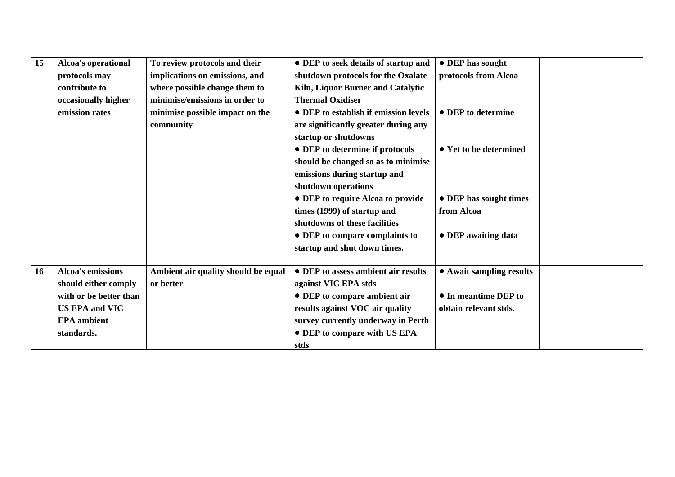| 15 | Alcoa's operational      | To review protocols and their       | • DEP to seek details of startup and  | • DEP has sought         |
|----|--------------------------|-------------------------------------|---------------------------------------|--------------------------|
|    | protocols may            | implications on emissions, and      | shutdown protocols for the Oxalate    | protocols from Alcoa     |
|    | contribute to            | where possible change them to       | Kiln, Liquor Burner and Catalytic     |                          |
|    | occasionally higher      | minimise/emissions in order to      | <b>Thermal Oxidiser</b>               |                          |
|    | emission rates           | minimise possible impact on the     | • DEP to establish if emission levels | • DEP to determine       |
|    |                          | community                           | are significantly greater during any  |                          |
|    |                          |                                     | startup or shutdowns                  |                          |
|    |                          |                                     | • DEP to determine if protocols       | • Yet to be determined   |
|    |                          |                                     | should be changed so as to minimise   |                          |
|    |                          |                                     | emissions during startup and          |                          |
|    |                          |                                     | shutdown operations                   |                          |
|    |                          |                                     | • DEP to require Alcoa to provide     | • DEP has sought times   |
|    |                          |                                     | times (1999) of startup and           | from Alcoa               |
|    |                          |                                     | shutdowns of these facilities         |                          |
|    |                          |                                     | • DEP to compare complaints to        | • DEP awaiting data      |
|    |                          |                                     | startup and shut down times.          |                          |
|    |                          |                                     |                                       |                          |
| 16 | <b>Alcoa's emissions</b> | Ambient air quality should be equal | • DEP to assess ambient air results   | • Await sampling results |
|    | should either comply     | or better                           | against VIC EPA stds                  |                          |
|    | with or be better than   |                                     | • DEP to compare ambient air          | • In meantime DEP to     |
|    | <b>US EPA and VIC</b>    |                                     | results against VOC air quality       | obtain relevant stds.    |
|    | <b>EPA</b> ambient       |                                     | survey currently underway in Perth    |                          |
|    | standards.               |                                     | • DEP to compare with US EPA          |                          |
|    |                          |                                     | stds                                  |                          |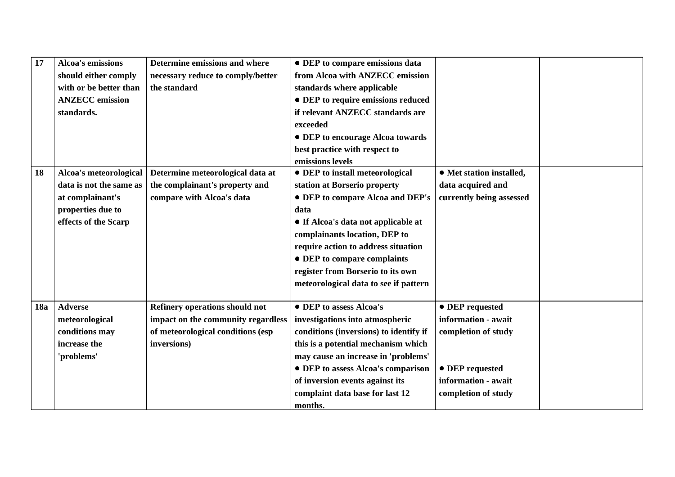| 17         | <b>Alcoa's emissions</b> | Determine emissions and where      | • DEP to compare emissions data        |                          |  |
|------------|--------------------------|------------------------------------|----------------------------------------|--------------------------|--|
|            | should either comply     | necessary reduce to comply/better  | from Alcoa with ANZECC emission        |                          |  |
|            | with or be better than   | the standard                       | standards where applicable             |                          |  |
|            | <b>ANZECC</b> emission   |                                    | • DEP to require emissions reduced     |                          |  |
|            | standards.               |                                    | if relevant ANZECC standards are       |                          |  |
|            |                          |                                    | exceeded                               |                          |  |
|            |                          |                                    | • DEP to encourage Alcoa towards       |                          |  |
|            |                          |                                    | best practice with respect to          |                          |  |
|            |                          |                                    | emissions levels                       |                          |  |
| 18         | Alcoa's meteorological   | Determine meteorological data at   | • DEP to install meteorological        | • Met station installed, |  |
|            | data is not the same as  | the complainant's property and     | station at Borserio property           | data acquired and        |  |
|            | at complainant's         | compare with Alcoa's data          | • DEP to compare Alcoa and DEP's       | currently being assessed |  |
|            | properties due to        |                                    | data                                   |                          |  |
|            | effects of the Scarp     |                                    | • If Alcoa's data not applicable at    |                          |  |
|            |                          |                                    | complainants location, DEP to          |                          |  |
|            |                          |                                    | require action to address situation    |                          |  |
|            |                          |                                    | • DEP to compare complaints            |                          |  |
|            |                          |                                    | register from Borserio to its own      |                          |  |
|            |                          |                                    | meteorological data to see if pattern  |                          |  |
|            |                          |                                    |                                        |                          |  |
| <b>18a</b> | <b>Adverse</b>           | Refinery operations should not     | • DEP to assess Alcoa's                | • DEP requested          |  |
|            | meteorological           | impact on the community regardless | investigations into atmospheric        | information - await      |  |
|            | conditions may           | of meteorological conditions (esp  | conditions (inversions) to identify if | completion of study      |  |
|            | increase the             | inversions)                        | this is a potential mechanism which    |                          |  |
|            | 'problems'               |                                    | may cause an increase in 'problems'    |                          |  |
|            |                          |                                    | • DEP to assess Alcoa's comparison     | • DEP requested          |  |
|            |                          |                                    | of inversion events against its        | information - await      |  |
|            |                          |                                    | complaint data base for last 12        | completion of study      |  |
|            |                          |                                    | months.                                |                          |  |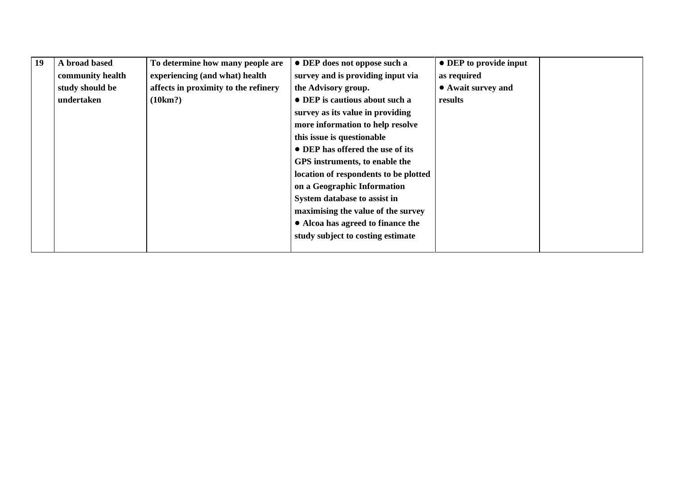| 19 | A broad based    | To determine how many people are     | • DEP does not oppose such a          | • DEP to provide input |  |
|----|------------------|--------------------------------------|---------------------------------------|------------------------|--|
|    | community health | experiencing (and what) health       | survey and is providing input via     | as required            |  |
|    | study should be  | affects in proximity to the refinery | the Advisory group.                   | • Await survey and     |  |
|    | undertaken       | (10km?)                              | • DEP is cautious about such a        | results                |  |
|    |                  |                                      | survey as its value in providing      |                        |  |
|    |                  |                                      | more information to help resolve      |                        |  |
|    |                  |                                      | this issue is questionable            |                        |  |
|    |                  |                                      | • DEP has offered the use of its      |                        |  |
|    |                  |                                      | GPS instruments, to enable the        |                        |  |
|    |                  |                                      | location of respondents to be plotted |                        |  |
|    |                  |                                      | on a Geographic Information           |                        |  |
|    |                  |                                      | System database to assist in          |                        |  |
|    |                  |                                      | maximising the value of the survey    |                        |  |
|    |                  |                                      | • Alcoa has agreed to finance the     |                        |  |
|    |                  |                                      | study subject to costing estimate     |                        |  |
|    |                  |                                      |                                       |                        |  |